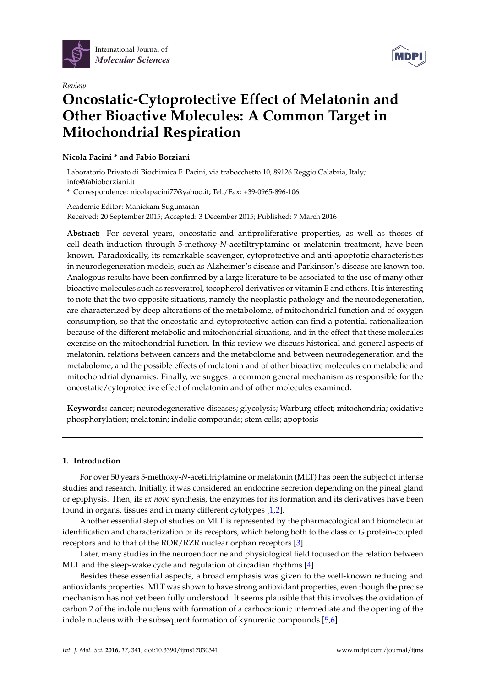



# *Review* **Oncostatic-Cytoprotective Effect of Melatonin and Other Bioactive Molecules: A Common Target in Mitochondrial Respiration**

# **Nicola Pacini \* and Fabio Borziani**

Laboratorio Privato di Biochimica F. Pacini, via trabocchetto 10, 89126 Reggio Calabria, Italy; info@fabioborziani.it

**\*** Correspondence: nicolapacini77@yahoo.it; Tel./Fax: +39-0965-896-106

Academic Editor: Manickam Sugumaran Received: 20 September 2015; Accepted: 3 December 2015; Published: 7 March 2016

**Abstract:** For several years, oncostatic and antiproliferative properties, as well as thoses of cell death induction through 5-methoxy-*N*-acetiltryptamine or melatonin treatment, have been known. Paradoxically, its remarkable scavenger, cytoprotective and anti-apoptotic characteristics in neurodegeneration models, such as Alzheimer's disease and Parkinson's disease are known too. Analogous results have been confirmed by a large literature to be associated to the use of many other bioactive molecules such as resveratrol, tocopherol derivatives or vitamin E and others. It is interesting to note that the two opposite situations, namely the neoplastic pathology and the neurodegeneration, are characterized by deep alterations of the metabolome, of mitochondrial function and of oxygen consumption, so that the oncostatic and cytoprotective action can find a potential rationalization because of the different metabolic and mitochondrial situations, and in the effect that these molecules exercise on the mitochondrial function. In this review we discuss historical and general aspects of melatonin, relations between cancers and the metabolome and between neurodegeneration and the metabolome, and the possible effects of melatonin and of other bioactive molecules on metabolic and mitochondrial dynamics. Finally, we suggest a common general mechanism as responsible for the oncostatic/cytoprotective effect of melatonin and of other molecules examined.

**Keywords:** cancer; neurodegenerative diseases; glycolysis; Warburg effect; mitochondria; oxidative phosphorylation; melatonin; indolic compounds; stem cells; apoptosis

# **1. Introduction**

For over 50 years 5-methoxy-*N*-acetiltriptamine or melatonin (MLT) has been the subject of intense studies and research. Initially, it was considered an endocrine secretion depending on the pineal gland or epiphysis. Then, its *ex novo* synthesis, the enzymes for its formation and its derivatives have been found in organs, tissues and in many different cytotypes [\[1](#page-14-0)[,2\]](#page-14-1).

Another essential step of studies on MLT is represented by the pharmacological and biomolecular identification and characterization of its receptors, which belong both to the class of G protein-coupled receptors and to that of the ROR/RZR nuclear orphan receptors [\[3\]](#page-14-2).

Later, many studies in the neuroendocrine and physiological field focused on the relation between MLT and the sleep-wake cycle and regulation of circadian rhythms [\[4\]](#page-14-3).

Besides these essential aspects, a broad emphasis was given to the well-known reducing and antioxidants properties. MLT was shown to have strong antioxidant properties, even though the precise mechanism has not yet been fully understood. It seems plausible that this involves the oxidation of carbon 2 of the indole nucleus with formation of a carbocationic intermediate and the opening of the indole nucleus with the subsequent formation of kynurenic compounds [\[5](#page-14-4)[,6\]](#page-14-5).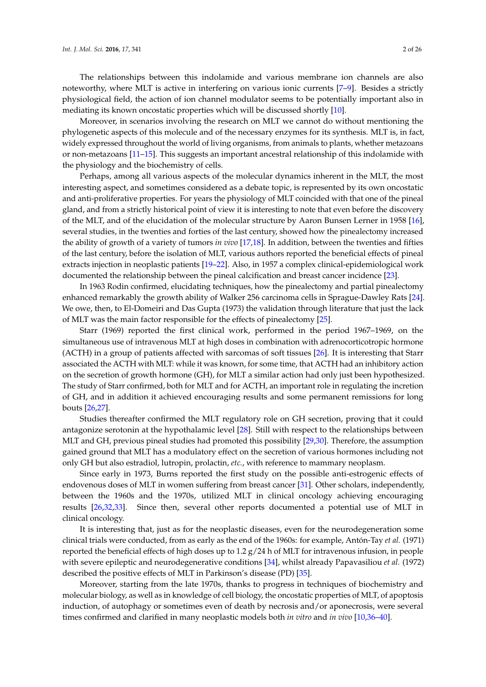The relationships between this indolamide and various membrane ion channels are also noteworthy, where MLT is active in interfering on various ionic currents [\[7–](#page-14-6)[9\]](#page-14-7). Besides a strictly physiological field, the action of ion channel modulator seems to be potentially important also in mediating its known oncostatic properties which will be discussed shortly [\[10\]](#page-15-0).

Moreover, in scenarios involving the research on MLT we cannot do without mentioning the phylogenetic aspects of this molecule and of the necessary enzymes for its synthesis. MLT is, in fact, widely expressed throughout the world of living organisms, from animals to plants, whether metazoans or non-metazoans [\[11–](#page-15-1)[15\]](#page-15-2). This suggests an important ancestral relationship of this indolamide with the physiology and the biochemistry of cells.

Perhaps, among all various aspects of the molecular dynamics inherent in the MLT, the most interesting aspect, and sometimes considered as a debate topic, is represented by its own oncostatic and anti-proliferative properties. For years the physiology of MLT coincided with that one of the pineal gland, and from a strictly historical point of view it is interesting to note that even before the discovery of the MLT, and of the elucidation of the molecular structure by Aaron Bunsen Lerner in 1958 [\[16\]](#page-15-3), several studies, in the twenties and forties of the last century, showed how the pinealectomy increased the ability of growth of a variety of tumors *in vivo* [\[17,](#page-15-4)[18\]](#page-15-5). In addition, between the twenties and fifties of the last century, before the isolation of MLT, various authors reported the beneficial effects of pineal extracts injection in neoplastic patients [\[19–](#page-15-6)[22\]](#page-15-7). Also, in 1957 a complex clinical-epidemiological work documented the relationship between the pineal calcification and breast cancer incidence [\[23\]](#page-15-8).

In 1963 Rodin confirmed, elucidating techniques, how the pinealectomy and partial pinealectomy enhanced remarkably the growth ability of Walker 256 carcinoma cells in Sprague-Dawley Rats [\[24\]](#page-15-9). We owe, then, to El-Domeiri and Das Gupta (1973) the validation through literature that just the lack of MLT was the main factor responsible for the effects of pinealectomy [\[25\]](#page-15-10).

Starr (1969) reported the first clinical work, performed in the period 1967–1969, on the simultaneous use of intravenous MLT at high doses in combination with adrenocorticotropic hormone (ACTH) in a group of patients affected with sarcomas of soft tissues [\[26\]](#page-15-11). It is interesting that Starr associated the ACTH with MLT: while it was known, for some time, that ACTH had an inhibitory action on the secretion of growth hormone (GH), for MLT a similar action had only just been hypothesized. The study of Starr confirmed, both for MLT and for ACTH, an important role in regulating the incretion of GH, and in addition it achieved encouraging results and some permanent remissions for long bouts [\[26,](#page-15-11)[27\]](#page-15-12).

Studies thereafter confirmed the MLT regulatory role on GH secretion, proving that it could antagonize serotonin at the hypothalamic level [\[28\]](#page-15-13). Still with respect to the relationships between MLT and GH, previous pineal studies had promoted this possibility [\[29,](#page-15-14)[30\]](#page-15-15). Therefore, the assumption gained ground that MLT has a modulatory effect on the secretion of various hormones including not only GH but also estradiol, lutropin, prolactin, *etc.*, with reference to mammary neoplasm.

Since early in 1973, Burns reported the first study on the possible anti-estrogenic effects of endovenous doses of MLT in women suffering from breast cancer [\[31\]](#page-15-16). Other scholars, independently, between the 1960s and the 1970s, utilized MLT in clinical oncology achieving encouraging results [\[26,](#page-15-11)[32,](#page-15-17)[33\]](#page-15-18). Since then, several other reports documented a potential use of MLT in clinical oncology.

It is interesting that, just as for the neoplastic diseases, even for the neurodegeneration some clinical trials were conducted, from as early as the end of the 1960s: for example, Antón-Tay *et al.* (1971) reported the beneficial effects of high doses up to 1.2  $g/24$  h of MLT for intravenous infusion, in people with severe epileptic and neurodegenerative conditions [\[34\]](#page-15-19), whilst already Papavasiliou *et al.* (1972) described the positive effects of MLT in Parkinson's disease (PD) [\[35\]](#page-15-20).

Moreover, starting from the late 1970s, thanks to progress in techniques of biochemistry and molecular biology, as well as in knowledge of cell biology, the oncostatic properties of MLT, of apoptosis induction, of autophagy or sometimes even of death by necrosis and/or aponecrosis, were several times confirmed and clarified in many neoplastic models both *in vitro* and *in vivo* [\[10](#page-15-0)[,36–](#page-16-0)[40\]](#page-16-1).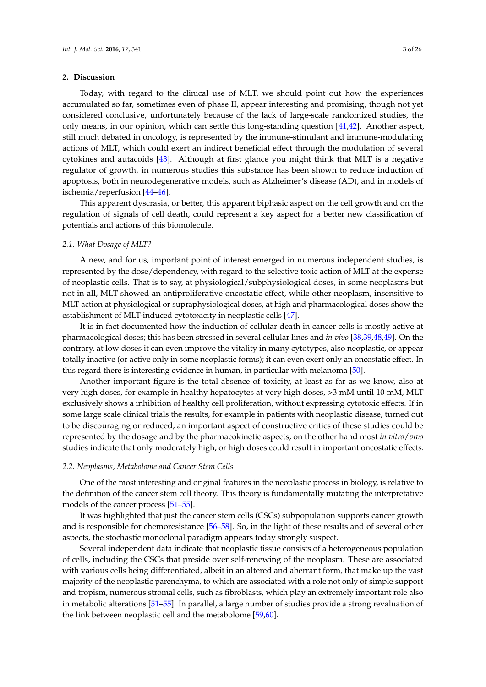# **2. Discussion**

Today, with regard to the clinical use of MLT, we should point out how the experiences accumulated so far, sometimes even of phase II, appear interesting and promising, though not yet considered conclusive, unfortunately because of the lack of large-scale randomized studies, the only means, in our opinion, which can settle this long-standing question [\[41](#page-16-2)[,42\]](#page-16-3). Another aspect, still much debated in oncology, is represented by the immune-stimulant and immune-modulating actions of MLT, which could exert an indirect beneficial effect through the modulation of several cytokines and autacoids [\[43\]](#page-16-4). Although at first glance you might think that MLT is a negative regulator of growth, in numerous studies this substance has been shown to reduce induction of apoptosis, both in neurodegenerative models, such as Alzheimer's disease (AD), and in models of ischemia/reperfusion [\[44](#page-16-5)[–46\]](#page-16-6).

This apparent dyscrasia, or better, this apparent biphasic aspect on the cell growth and on the regulation of signals of cell death, could represent a key aspect for a better new classification of potentials and actions of this biomolecule.

# *2.1. What Dosage of MLT?*

A new, and for us, important point of interest emerged in numerous independent studies, is represented by the dose/dependency, with regard to the selective toxic action of MLT at the expense of neoplastic cells. That is to say, at physiological/subphysiological doses, in some neoplasms but not in all, MLT showed an antiproliferative oncostatic effect, while other neoplasm, insensitive to MLT action at physiological or supraphysiological doses, at high and pharmacological doses show the establishment of MLT-induced cytotoxicity in neoplastic cells [\[47\]](#page-16-7).

It is in fact documented how the induction of cellular death in cancer cells is mostly active at pharmacological doses; this has been stressed in several cellular lines and *in vivo* [\[38](#page-16-8)[,39](#page-16-9)[,48,](#page-16-10)[49\]](#page-16-11). On the contrary, at low doses it can even improve the vitality in many cytotypes, also neoplastic, or appear totally inactive (or active only in some neoplastic forms); it can even exert only an oncostatic effect. In this regard there is interesting evidence in human, in particular with melanoma [\[50\]](#page-16-12).

Another important figure is the total absence of toxicity, at least as far as we know, also at very high doses, for example in healthy hepatocytes at very high doses, >3 mM until 10 mM, MLT exclusively shows a inhibition of healthy cell proliferation, without expressing cytotoxic effects. If in some large scale clinical trials the results, for example in patients with neoplastic disease, turned out to be discouraging or reduced, an important aspect of constructive critics of these studies could be represented by the dosage and by the pharmacokinetic aspects, on the other hand most *in vitro*/*vivo* studies indicate that only moderately high, or high doses could result in important oncostatic effects.

#### *2.2. Neoplasms, Metabolome and Cancer Stem Cells*

One of the most interesting and original features in the neoplastic process in biology, is relative to the definition of the cancer stem cell theory. This theory is fundamentally mutating the interpretative models of the cancer process [\[51](#page-16-13)[–55\]](#page-16-14).

It was highlighted that just the cancer stem cells (CSCs) subpopulation supports cancer growth and is responsible for chemoresistance [\[56](#page-16-15)[–58\]](#page-17-0). So, in the light of these results and of several other aspects, the stochastic monoclonal paradigm appears today strongly suspect.

Several independent data indicate that neoplastic tissue consists of a heterogeneous population of cells, including the CSCs that preside over self-renewing of the neoplasm. These are associated with various cells being differentiated, albeit in an altered and aberrant form, that make up the vast majority of the neoplastic parenchyma, to which are associated with a role not only of simple support and tropism, numerous stromal cells, such as fibroblasts, which play an extremely important role also in metabolic alterations [\[51–](#page-16-13)[55\]](#page-16-14). In parallel, a large number of studies provide a strong revaluation of the link between neoplastic cell and the metabolome [\[59](#page-17-1)[,60\]](#page-17-2).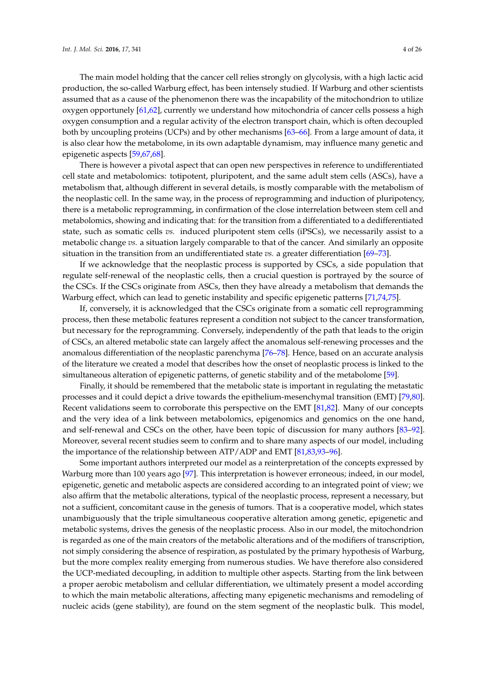The main model holding that the cancer cell relies strongly on glycolysis, with a high lactic acid production, the so-called Warburg effect, has been intensely studied. If Warburg and other scientists assumed that as a cause of the phenomenon there was the incapability of the mitochondrion to utilize oxygen opportunely [\[61](#page-17-3)[,62\]](#page-17-4), currently we understand how mitochondria of cancer cells possess a high oxygen consumption and a regular activity of the electron transport chain, which is often decoupled both by uncoupling proteins (UCPs) and by other mechanisms [\[63–](#page-17-5)[66\]](#page-17-6). From a large amount of data, it is also clear how the metabolome, in its own adaptable dynamism, may influence many genetic and epigenetic aspects [\[59](#page-17-1)[,67,](#page-17-7)[68\]](#page-17-8).

There is however a pivotal aspect that can open new perspectives in reference to undifferentiated cell state and metabolomics: totipotent, pluripotent, and the same adult stem cells (ASCs), have a metabolism that, although different in several details, is mostly comparable with the metabolism of the neoplastic cell. In the same way, in the process of reprogramming and induction of pluripotency, there is a metabolic reprogramming, in confirmation of the close interrelation between stem cell and metabolomics, showing and indicating that: for the transition from a differentiated to a dedifferentiated state, such as somatic cells *vs.* induced pluripotent stem cells (iPSCs), we necessarily assist to a metabolic change *vs.* a situation largely comparable to that of the cancer. And similarly an opposite situation in the transition from an undifferentiated state *vs.* a greater differentiation [\[69–](#page-17-9)[73\]](#page-17-10).

If we acknowledge that the neoplastic process is supported by CSCs, a side population that regulate self-renewal of the neoplastic cells, then a crucial question is portrayed by the source of the CSCs. If the CSCs originate from ASCs, then they have already a metabolism that demands the Warburg effect, which can lead to genetic instability and specific epigenetic patterns [\[71,](#page-17-11)[74](#page-17-12)[,75\]](#page-17-13).

If, conversely, it is acknowledged that the CSCs originate from a somatic cell reprogramming process, then these metabolic features represent a condition not subject to the cancer transformation, but necessary for the reprogramming. Conversely, independently of the path that leads to the origin of CSCs, an altered metabolic state can largely affect the anomalous self-renewing processes and the anomalous differentiation of the neoplastic parenchyma [\[76–](#page-17-14)[78\]](#page-17-15). Hence, based on an accurate analysis of the literature we created a model that describes how the onset of neoplastic process is linked to the simultaneous alteration of epigenetic patterns, of genetic stability and of the metabolome [\[59\]](#page-17-1).

Finally, it should be remembered that the metabolic state is important in regulating the metastatic processes and it could depict a drive towards the epithelium-mesenchymal transition (EMT) [\[79,](#page-17-16)[80\]](#page-17-17). Recent validations seem to corroborate this perspective on the EMT [\[81](#page-18-0)[,82\]](#page-18-1). Many of our concepts and the very idea of a link between metabolomics, epigenomics and genomics on the one hand, and self-renewal and CSCs on the other, have been topic of discussion for many authors [\[83–](#page-18-2)[92\]](#page-18-3). Moreover, several recent studies seem to confirm and to share many aspects of our model, including the importance of the relationship between ATP/ADP and EMT [\[81](#page-18-0)[,83](#page-18-2)[,93–](#page-18-4)[96\]](#page-18-5).

Some important authors interpreted our model as a reinterpretation of the concepts expressed by Warburg more than 100 years ago [\[97\]](#page-18-6). This interpretation is however erroneous; indeed, in our model, epigenetic, genetic and metabolic aspects are considered according to an integrated point of view; we also affirm that the metabolic alterations, typical of the neoplastic process, represent a necessary, but not a sufficient, concomitant cause in the genesis of tumors. That is a cooperative model, which states unambiguously that the triple simultaneous cooperative alteration among genetic, epigenetic and metabolic systems, drives the genesis of the neoplastic process. Also in our model, the mitochondrion is regarded as one of the main creators of the metabolic alterations and of the modifiers of transcription, not simply considering the absence of respiration, as postulated by the primary hypothesis of Warburg, but the more complex reality emerging from numerous studies. We have therefore also considered the UCP-mediated decoupling, in addition to multiple other aspects. Starting from the link between a proper aerobic metabolism and cellular differentiation, we ultimately present a model according to which the main metabolic alterations, affecting many epigenetic mechanisms and remodeling of nucleic acids (gene stability), are found on the stem segment of the neoplastic bulk. This model,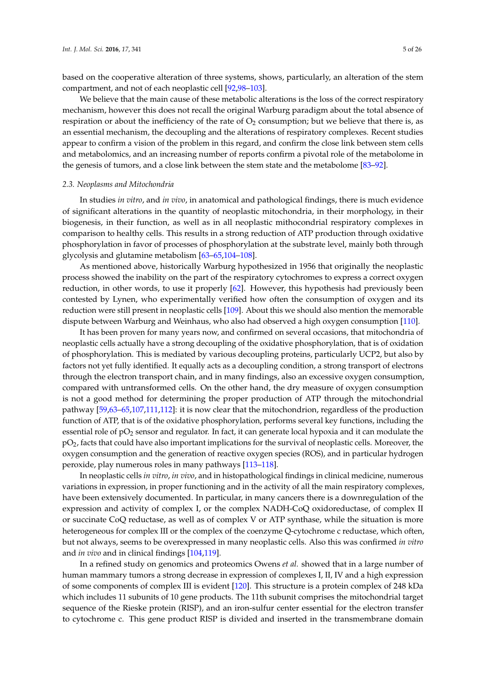based on the cooperative alteration of three systems, shows, particularly, an alteration of the stem compartment, and not of each neoplastic cell [\[92](#page-18-3)[,98](#page-18-7)[–103\]](#page-19-0).

We believe that the main cause of these metabolic alterations is the loss of the correct respiratory mechanism, however this does not recall the original Warburg paradigm about the total absence of respiration or about the inefficiency of the rate of  $O<sub>2</sub>$  consumption; but we believe that there is, as an essential mechanism, the decoupling and the alterations of respiratory complexes. Recent studies appear to confirm a vision of the problem in this regard, and confirm the close link between stem cells and metabolomics, and an increasing number of reports confirm a pivotal role of the metabolome in the genesis of tumors, and a close link between the stem state and the metabolome [\[83–](#page-18-2)[92\]](#page-18-3).

#### *2.3. Neoplasms and Mitochondria*

In studies *in vitro*, and *in vivo*, in anatomical and pathological findings, there is much evidence of significant alterations in the quantity of neoplastic mitochondria, in their morphology, in their biogenesis, in their function, as well as in all neoplastic mithocondrial respiratory complexes in comparison to healthy cells. This results in a strong reduction of ATP production through oxidative phosphorylation in favor of processes of phosphorylation at the substrate level, mainly both through glycolysis and glutamine metabolism [\[63–](#page-17-5)[65,](#page-17-18)[104](#page-19-1)[–108\]](#page-19-2).

As mentioned above, historically Warburg hypothesized in 1956 that originally the neoplastic process showed the inability on the part of the respiratory cytochromes to express a correct oxygen reduction, in other words, to use it properly [\[62\]](#page-17-4). However, this hypothesis had previously been contested by Lynen, who experimentally verified how often the consumption of oxygen and its reduction were still present in neoplastic cells [\[109\]](#page-19-3). About this we should also mention the memorable dispute between Warburg and Weinhaus, who also had observed a high oxygen consumption [\[110\]](#page-19-4).

It has been proven for many years now, and confirmed on several occasions, that mitochondria of neoplastic cells actually have a strong decoupling of the oxidative phosphorylation, that is of oxidation of phosphorylation. This is mediated by various decoupling proteins, particularly UCP2, but also by factors not yet fully identified. It equally acts as a decoupling condition, a strong transport of electrons through the electron transport chain, and in many findings, also an excessive oxygen consumption, compared with untransformed cells. On the other hand, the dry measure of oxygen consumption is not a good method for determining the proper production of ATP through the mitochondrial pathway [\[59](#page-17-1)[,63–](#page-17-5)[65](#page-17-18)[,107](#page-19-5)[,111](#page-19-6)[,112\]](#page-19-7): it is now clear that the mitochondrion, regardless of the production function of ATP, that is of the oxidative phosphorylation, performs several key functions, including the essential role of  $pO<sub>2</sub>$  sensor and regulator. In fact, it can generate local hypoxia and it can modulate the  $pO<sub>2</sub>$ , facts that could have also important implications for the survival of neoplastic cells. Moreover, the oxygen consumption and the generation of reactive oxygen species (ROS), and in particular hydrogen peroxide, play numerous roles in many pathways [\[113](#page-19-8)[–118\]](#page-19-9).

In neoplastic cells *in vitro*, *in vivo*, and in histopathological findings in clinical medicine, numerous variations in expression, in proper functioning and in the activity of all the main respiratory complexes, have been extensively documented. In particular, in many cancers there is a downregulation of the expression and activity of complex I, or the complex NADH-CoQ oxidoreductase, of complex II or succinate CoQ reductase, as well as of complex V or ATP synthase, while the situation is more heterogeneous for complex III or the complex of the coenzyme Q-cytochrome c reductase, which often, but not always, seems to be overexpressed in many neoplastic cells. Also this was confirmed *in vitro* and *in vivo* and in clinical findings [\[104,](#page-19-1)[119\]](#page-19-10).

In a refined study on genomics and proteomics Owens *et al.* showed that in a large number of human mammary tumors a strong decrease in expression of complexes I, II, IV and a high expression of some components of complex III is evident [\[120\]](#page-19-11). This structure is a protein complex of 248 kDa which includes 11 subunits of 10 gene products. The 11th subunit comprises the mitochondrial target sequence of the Rieske protein (RISP), and an iron-sulfur center essential for the electron transfer to cytochrome c. This gene product RISP is divided and inserted in the transmembrane domain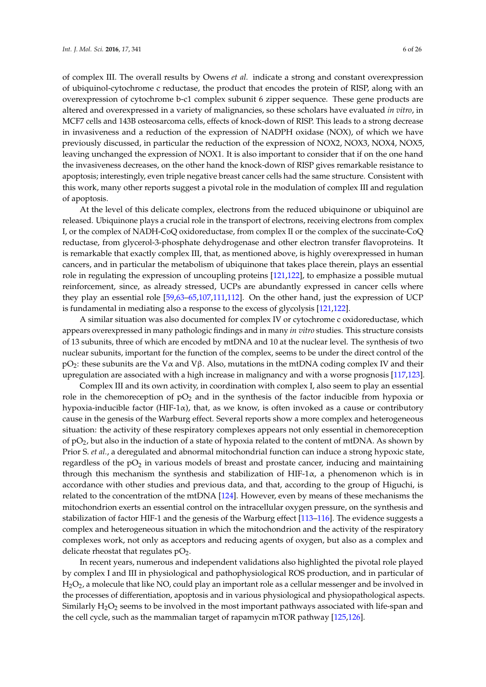of complex III. The overall results by Owens *et al.* indicate a strong and constant overexpression of ubiquinol-cytochrome c reductase, the product that encodes the protein of RISP, along with an overexpression of cytochrome b-c1 complex subunit 6 zipper sequence. These gene products are altered and overexpressed in a variety of malignancies, so these scholars have evaluated *in vitro*, in MCF7 cells and 143B osteosarcoma cells, effects of knock-down of RISP. This leads to a strong decrease in invasiveness and a reduction of the expression of NADPH oxidase (NOX), of which we have previously discussed, in particular the reduction of the expression of NOX2, NOX3, NOX4, NOX5, leaving unchanged the expression of NOX1. It is also important to consider that if on the one hand the invasiveness decreases, on the other hand the knock-down of RISP gives remarkable resistance to apoptosis; interestingly, even triple negative breast cancer cells had the same structure. Consistent with this work, many other reports suggest a pivotal role in the modulation of complex III and regulation of apoptosis.

At the level of this delicate complex, electrons from the reduced ubiquinone or ubiquinol are released. Ubiquinone plays a crucial role in the transport of electrons, receiving electrons from complex I, or the complex of NADH-CoQ oxidoreductase, from complex II or the complex of the succinate-CoQ reductase, from glycerol-3-phosphate dehydrogenase and other electron transfer flavoproteins. It is remarkable that exactly complex III, that, as mentioned above, is highly overexpressed in human cancers, and in particular the metabolism of ubiquinone that takes place therein, plays an essential role in regulating the expression of uncoupling proteins [\[121,](#page-19-12)[122\]](#page-20-0), to emphasize a possible mutual reinforcement, since, as already stressed, UCPs are abundantly expressed in cancer cells where they play an essential role [\[59](#page-17-1)[,63–](#page-17-5)[65,](#page-17-18)[107](#page-19-5)[,111](#page-19-6)[,112\]](#page-19-7). On the other hand, just the expression of UCP is fundamental in mediating also a response to the excess of glycolysis [\[121,](#page-19-12)[122\]](#page-20-0).

A similar situation was also documented for complex IV or cytochrome c oxidoreductase, which appears overexpressed in many pathologic findings and in many *in vitro* studies. This structure consists of 13 subunits, three of which are encoded by mtDNA and 10 at the nuclear level. The synthesis of two nuclear subunits, important for the function of the complex, seems to be under the direct control of the pO<sub>2</sub>: these subunits are the Vα and Vβ. Also, mutations in the mtDNA coding complex IV and their upregulation are associated with a high increase in malignancy and with a worse prognosis [\[117,](#page-19-13)[123\]](#page-20-1).

Complex III and its own activity, in coordination with complex I, also seem to play an essential role in the chemoreception of  $pO<sub>2</sub>$  and in the synthesis of the factor inducible from hypoxia or hypoxia-inducible factor (HIF-1α), that, as we know, is often invoked as a cause or contributory cause in the genesis of the Warburg effect. Several reports show a more complex and heterogeneous situation: the activity of these respiratory complexes appears not only essential in chemoreception of  $pO<sub>2</sub>$ , but also in the induction of a state of hypoxia related to the content of mtDNA. As shown by Prior S. *et al.*, a deregulated and abnormal mitochondrial function can induce a strong hypoxic state, regardless of the  $pO<sub>2</sub>$  in various models of breast and prostate cancer, inducing and maintaining through this mechanism the synthesis and stabilization of HIF-1 $\alpha$ , a phenomenon which is in accordance with other studies and previous data, and that, according to the group of Higuchi, is related to the concentration of the mtDNA [\[124\]](#page-20-2). However, even by means of these mechanisms the mitochondrion exerts an essential control on the intracellular oxygen pressure, on the synthesis and stabilization of factor HIF-1 and the genesis of the Warburg effect [\[113–](#page-19-8)[116\]](#page-19-14). The evidence suggests a complex and heterogeneous situation in which the mitochondrion and the activity of the respiratory complexes work, not only as acceptors and reducing agents of oxygen, but also as a complex and delicate rheostat that regulates  $pO<sub>2</sub>$ .

In recent years, numerous and independent validations also highlighted the pivotal role played by complex I and III in physiological and pathophysiological ROS production, and in particular of  $H<sub>2</sub>O<sub>2</sub>$ , a molecule that like NO, could play an important role as a cellular messenger and be involved in the processes of differentiation, apoptosis and in various physiological and physiopathological aspects. Similarly  $H_2O_2$  seems to be involved in the most important pathways associated with life-span and the cell cycle, such as the mammalian target of rapamycin mTOR pathway [\[125,](#page-20-3)[126\]](#page-20-4).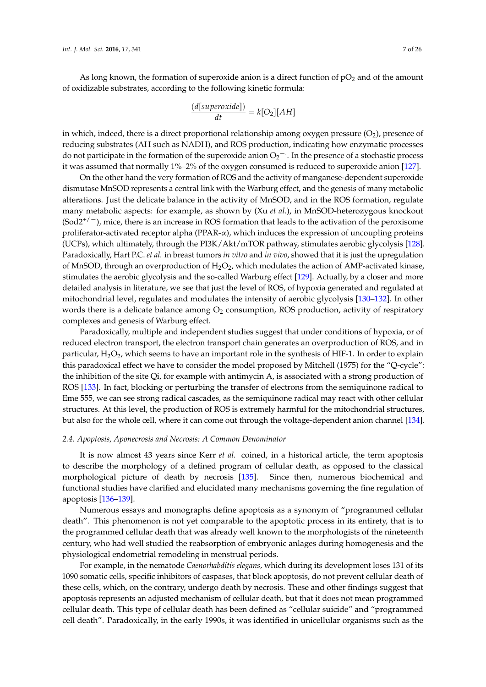As long known, the formation of superoxide anion is a direct function of  $pO<sub>2</sub>$  and of the amount of oxidizable substrates, according to the following kinetic formula:

$$
\frac{(d[superoxide])}{dt} = k[O_2][AH]
$$

in which, indeed, there is a direct proportional relationship among oxygen pressure  $(O_2)$ , presence of reducing substrates (AH such as NADH), and ROS production, indicating how enzymatic processes do not participate in the formation of the superoxide anion  $O_2$ <sup>-</sup>. In the presence of a stochastic process it was assumed that normally 1%–2% of the oxygen consumed is reduced to superoxide anion [\[127\]](#page-20-5).

On the other hand the very formation of ROS and the activity of manganese-dependent superoxide dismutase MnSOD represents a central link with the Warburg effect, and the genesis of many metabolic alterations. Just the delicate balance in the activity of MnSOD, and in the ROS formation, regulate many metabolic aspects: for example, as shown by (Xu *et al.*), in MnSOD-heterozygous knockout  $(Sod2^{+/-})$ , mice, there is an increase in ROS formation that leads to the activation of the peroxisome proliferator-activated receptor alpha (PPAR- $\alpha$ ), which induces the expression of uncoupling proteins (UCPs), which ultimately, through the PI3K/Akt/mTOR pathway, stimulates aerobic glycolysis [\[128\]](#page-20-6). Paradoxically, Hart P.C. *et al.* in breast tumors *in vitro* and *in vivo*, showed that it is just the upregulation of MnSOD, through an overproduction of  $H_2O_2$ , which modulates the action of AMP-activated kinase, stimulates the aerobic glycolysis and the so-called Warburg effect [\[129\]](#page-20-7). Actually, by a closer and more detailed analysis in literature, we see that just the level of ROS, of hypoxia generated and regulated at mitochondrial level, regulates and modulates the intensity of aerobic glycolysis [\[130–](#page-20-8)[132\]](#page-20-9). In other words there is a delicate balance among  $O_2$  consumption, ROS production, activity of respiratory complexes and genesis of Warburg effect.

Paradoxically, multiple and independent studies suggest that under conditions of hypoxia, or of reduced electron transport, the electron transport chain generates an overproduction of ROS, and in particular,  $H_2O_2$ , which seems to have an important role in the synthesis of HIF-1. In order to explain this paradoxical effect we have to consider the model proposed by Mitchell (1975) for the "Q-cycle": the inhibition of the site Qi, for example with antimycin A, is associated with a strong production of ROS [\[133\]](#page-20-10). In fact, blocking or perturbing the transfer of electrons from the semiquinone radical to Eme 555, we can see strong radical cascades, as the semiquinone radical may react with other cellular structures. At this level, the production of ROS is extremely harmful for the mitochondrial structures, but also for the whole cell, where it can come out through the voltage-dependent anion channel [\[134\]](#page-20-11).

#### *2.4. Apoptosis, Aponecrosis and Necrosis: A Common Denominator*

It is now almost 43 years since Kerr *et al.* coined, in a historical article, the term apoptosis to describe the morphology of a defined program of cellular death, as opposed to the classical morphological picture of death by necrosis [\[135\]](#page-20-12). Since then, numerous biochemical and functional studies have clarified and elucidated many mechanisms governing the fine regulation of apoptosis [\[136–](#page-20-13)[139\]](#page-20-14).

Numerous essays and monographs define apoptosis as a synonym of "programmed cellular death". This phenomenon is not yet comparable to the apoptotic process in its entirety, that is to the programmed cellular death that was already well known to the morphologists of the nineteenth century, who had well studied the reabsorption of embryonic anlages during homogenesis and the physiological endometrial remodeling in menstrual periods.

For example, in the nematode *Caenorhabditis elegans*, which during its development loses 131 of its 1090 somatic cells, specific inhibitors of caspases, that block apoptosis, do not prevent cellular death of these cells, which, on the contrary, undergo death by necrosis. These and other findings suggest that apoptosis represents an adjusted mechanism of cellular death, but that it does not mean programmed cellular death. This type of cellular death has been defined as "cellular suicide" and "programmed cell death". Paradoxically, in the early 1990s, it was identified in unicellular organisms such as the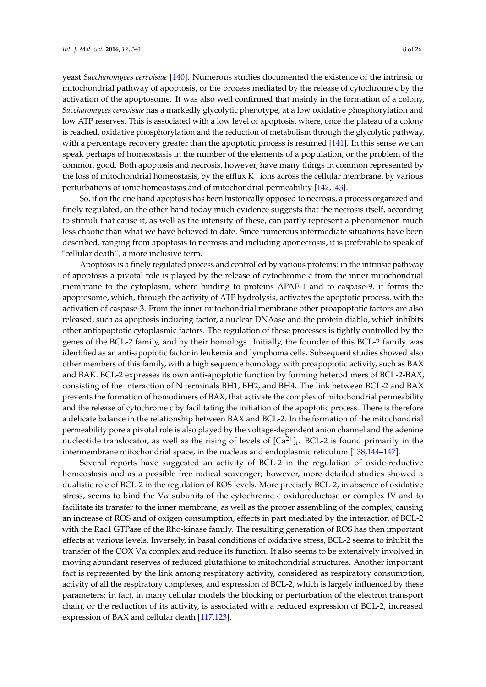low ATP reserves. This is associated with a low level of apoptosis, where, once the plateau of a colony is reached, oxidative phosphorylation and the reduction of metabolism through the glycolytic pathway, with a percentage recovery greater than the apoptotic process is resumed [\[141\]](#page-20-16). In this sense we can speak perhaps of homeostasis in the number of the elements of a population, or the problem of the common good. Both apoptosis and necrosis, however, have many things in common represented by the loss of mitochondrial homeostasis, by the efflux  $K^+$  ions across the cellular membrane, by various perturbations of ionic homeostasis and of mitochondrial permeability [\[142,](#page-20-17)[143\]](#page-20-18).

So, if on the one hand apoptosis has been historically opposed to necrosis, a process organized and finely regulated, on the other hand today much evidence suggests that the necrosis itself, according to stimuli that cause it, as well as the intensity of these, can partly represent a phenomenon much less chaotic than what we have believed to date. Since numerous intermediate situations have been described, ranging from apoptosis to necrosis and including aponecrosis, it is preferable to speak of "cellular death", a more inclusive term.

Apoptosis is a finely regulated process and controlled by various proteins: in the intrinsic pathway of apoptosis a pivotal role is played by the release of cytochrome c from the inner mitochondrial membrane to the cytoplasm, where binding to proteins APAF-1 and to caspase-9, it forms the apoptosome, which, through the activity of ATP hydrolysis, activates the apoptotic process, with the activation of caspase-3. From the inner mitochondrial membrane other proapoptotic factors are also released, such as apoptosis inducing factor, a nuclear DNAase and the protein diablo, which inhibits other antiapoptotic cytoplasmic factors. The regulation of these processes is tightly controlled by the genes of the BCL-2 family, and by their homologs. Initially, the founder of this BCL-2 family was identified as an anti-apoptotic factor in leukemia and lymphoma cells. Subsequent studies showed also other members of this family, with a high sequence homology with proapoptotic activity, such as BAX and BAK. BCL-2 expresses its own anti-apoptotic function by forming heterodimers of BCL-2-BAX, consisting of the interaction of N terminals BH1, BH2, and BH4. The link between BCL-2 and BAX prevents the formation of homodimers of BAX, that activate the complex of mitochondrial permeability and the release of cytochrome c by facilitating the initiation of the apoptotic process. There is therefore a delicate balance in the relationship between BAX and BCL-2. In the formation of the mitochondrial permeability pore a pivotal role is also played by the voltage-dependent anion channel and the adenine nucleotide translocator, as well as the rising of levels of  $[Ca^{2+}]_i$ . BCL-2 is found primarily in the intermembrane mitochondrial space, in the nucleus and endoplasmic reticulum [\[138](#page-20-19)[,144–](#page-21-0)[147\]](#page-21-1).

Several reports have suggested an activity of BCL-2 in the regulation of oxide-reductive homeostasis and as a possible free radical scavenger; however, more detailed studies showed a dualistic role of BCL-2 in the regulation of ROS levels. More precisely BCL-2, in absence of oxidative stress, seems to bind the Vα subunits of the cytochrome c oxidoreductase or complex IV and to facilitate its transfer to the inner membrane, as well as the proper assembling of the complex, causing an increase of ROS and of oxigen consumption, effects in part mediated by the interaction of BCL-2 with the Rac1 GTPase of the Rho-kinase family. The resulting generation of ROS has then important effects at various levels. Inversely, in basal conditions of oxidative stress, BCL-2 seems to inhibit the transfer of the COX Vα complex and reduce its function. It also seems to be extensively involved in moving abundant reserves of reduced glutathione to mitochondrial structures. Another important fact is represented by the link among respiratory activity, considered as respiratory consumption, activity of all the respiratory complexes, and expression of BCL-2, which is largely influenced by these parameters: in fact, in many cellular models the blocking or perturbation of the electron transport chain, or the reduction of its activity, is associated with a reduced expression of BCL-2, increased expression of BAX and cellular death [\[117,](#page-19-13)[123\]](#page-20-1).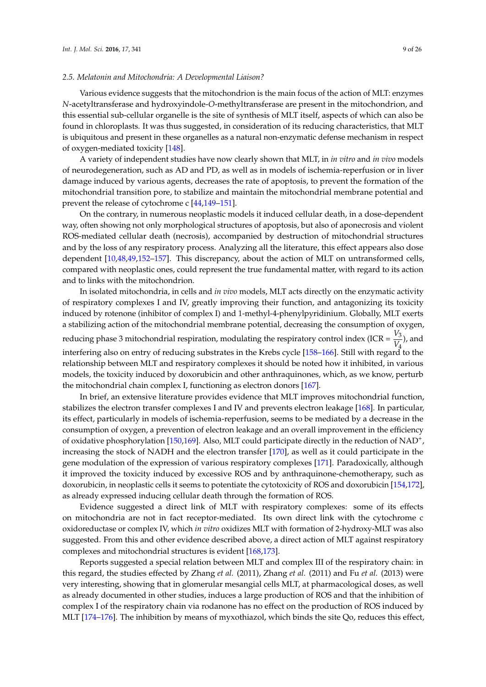# *2.5. Melatonin and Mitochondria: A Developmental Liaison?*

Various evidence suggests that the mitochondrion is the main focus of the action of MLT: enzymes *N*-acetyltransferase and hydroxyindole-*O*-methyltransferase are present in the mitochondrion, and this essential sub-cellular organelle is the site of synthesis of MLT itself, aspects of which can also be found in chloroplasts. It was thus suggested, in consideration of its reducing characteristics, that MLT is ubiquitous and present in these organelles as a natural non-enzymatic defense mechanism in respect of oxygen-mediated toxicity [\[148\]](#page-21-2).

A variety of independent studies have now clearly shown that MLT, in *in vitro* and *in vivo* models of neurodegeneration, such as AD and PD, as well as in models of ischemia-reperfusion or in liver damage induced by various agents, decreases the rate of apoptosis, to prevent the formation of the mitochondrial transition pore, to stabilize and maintain the mitochondrial membrane potential and prevent the release of cytochrome c [\[44,](#page-16-5)[149–](#page-21-3)[151\]](#page-21-4).

On the contrary, in numerous neoplastic models it induced cellular death, in a dose-dependent way, often showing not only morphological structures of apoptosis, but also of aponecrosis and violent ROS-mediated cellular death (necrosis), accompanied by destruction of mitochondrial structures and by the loss of any respiratory process. Analyzing all the literature, this effect appears also dose dependent [\[10,](#page-15-0)[48,](#page-16-10)[49,](#page-16-11)[152](#page-21-5)[–157\]](#page-21-6). This discrepancy, about the action of MLT on untransformed cells, compared with neoplastic ones, could represent the true fundamental matter, with regard to its action and to links with the mitochondrion.

In isolated mitochondria, in cells and *in vivo* models, MLT acts directly on the enzymatic activity of respiratory complexes I and IV, greatly improving their function, and antagonizing its toxicity induced by rotenone (inhibitor of complex I) and 1-methyl-4-phenylpyridinium. Globally, MLT exerts a stabilizing action of the mitochondrial membrane potential, decreasing the consumption of oxygen, reducing phase 3 mitochondrial respiration, modulating the respiratory control index (ICR =  $\frac{V_3}{V_1}$  $\frac{v_3}{V_4}$ ), and interfering also on entry of reducing substrates in the Krebs cycle [\[158](#page-21-7)[–166\]](#page-22-0). Still with regard to the relationship between MLT and respiratory complexes it should be noted how it inhibited, in various models, the toxicity induced by doxorubicin and other anthraquinones, which, as we know, perturb the mitochondrial chain complex I, functioning as electron donors [\[167\]](#page-22-1).

In brief, an extensive literature provides evidence that MLT improves mitochondrial function, stabilizes the electron transfer complexes I and IV and prevents electron leakage [\[168\]](#page-22-2). In particular, its effect, particularly in models of ischemia-reperfusion, seems to be mediated by a decrease in the consumption of oxygen, a prevention of electron leakage and an overall improvement in the efficiency of oxidative phosphorylation [\[150,](#page-21-8)[169\]](#page-22-3). Also, MLT could participate directly in the reduction of NAD<sup>+</sup>, increasing the stock of NADH and the electron transfer [\[170\]](#page-22-4), as well as it could participate in the gene modulation of the expression of various respiratory complexes [\[171\]](#page-22-5). Paradoxically, although it improved the toxicity induced by excessive ROS and by anthraquinone-chemotherapy, such as doxorubicin, in neoplastic cells it seems to potentiate the cytotoxicity of ROS and doxorubicin [\[154](#page-21-9)[,172\]](#page-22-6), as already expressed inducing cellular death through the formation of ROS.

Evidence suggested a direct link of MLT with respiratory complexes: some of its effects on mitochondria are not in fact receptor-mediated. Its own direct link with the cytochrome c oxidoreductase or complex IV, which *in vitro* oxidizes MLT with formation of 2-hydroxy-MLT was also suggested. From this and other evidence described above, a direct action of MLT against respiratory complexes and mitochondrial structures is evident [\[168](#page-22-2)[,173\]](#page-22-7).

Reports suggested a special relation between MLT and complex III of the respiratory chain: in this regard, the studies effected by Zhang *et al.* (2011), Zhang *et al.* (2011) and Fu *et al.* (2013) were very interesting, showing that in glomerular mesangial cells MLT, at pharmacological doses, as well as already documented in other studies, induces a large production of ROS and that the inhibition of complex I of the respiratory chain via rodanone has no effect on the production of ROS induced by MLT [\[174](#page-22-8)[–176\]](#page-22-9). The inhibition by means of myxothiazol, which binds the site Qo, reduces this effect,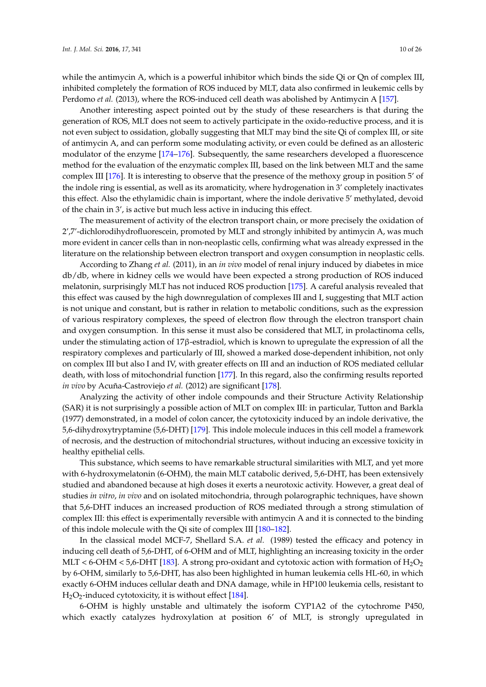while the antimycin A, which is a powerful inhibitor which binds the side Qi or Qn of complex III, inhibited completely the formation of ROS induced by MLT, data also confirmed in leukemic cells by Perdomo *et al.* (2013), where the ROS-induced cell death was abolished by Antimycin A [\[157\]](#page-21-6).

Another interesting aspect pointed out by the study of these researchers is that during the generation of ROS, MLT does not seem to actively participate in the oxido-reductive process, and it is not even subject to ossidation, globally suggesting that MLT may bind the site Qi of complex III, or site of antimycin A, and can perform some modulating activity, or even could be defined as an allosteric modulator of the enzyme [\[174–](#page-22-8)[176\]](#page-22-9). Subsequently, the same researchers developed a fluorescence method for the evaluation of the enzymatic complex III, based on the link between MLT and the same complex III [\[176\]](#page-22-9). It is interesting to observe that the presence of the methoxy group in position 5' of the indole ring is essential, as well as its aromaticity, where hydrogenation in 3' completely inactivates this effect. Also the ethylamidic chain is important, where the indole derivative 5' methylated, devoid of the chain in 3', is active but much less active in inducing this effect.

The measurement of activity of the electron transport chain, or more precisely the oxidation of 2',7'-dichlorodihydrofluorescein, promoted by MLT and strongly inhibited by antimycin A, was much more evident in cancer cells than in non-neoplastic cells, confirming what was already expressed in the literature on the relationship between electron transport and oxygen consumption in neoplastic cells.

According to Zhang *et al.* (2011), in an *in vivo* model of renal injury induced by diabetes in mice db/db, where in kidney cells we would have been expected a strong production of ROS induced melatonin, surprisingly MLT has not induced ROS production [\[175\]](#page-22-10). A careful analysis revealed that this effect was caused by the high downregulation of complexes III and I, suggesting that MLT action is not unique and constant, but is rather in relation to metabolic conditions, such as the expression of various respiratory complexes, the speed of electron flow through the electron transport chain and oxygen consumption. In this sense it must also be considered that MLT, in prolactinoma cells, under the stimulating action of 17β-estradiol, which is known to upregulate the expression of all the respiratory complexes and particularly of III, showed a marked dose-dependent inhibition, not only on complex III but also I and IV, with greater effects on III and an induction of ROS mediated cellular death, with loss of mitochondrial function [\[177\]](#page-22-11). In this regard, also the confirming results reported *in vivo* by Acuña-Castroviejo *et al.* (2012) are significant [\[178\]](#page-22-12).

Analyzing the activity of other indole compounds and their Structure Activity Relationship (SAR) it is not surprisingly a possible action of MLT on complex III: in particular, Tutton and Barkla (1977) demonstrated, in a model of colon cancer, the cytotoxicity induced by an indole derivative, the 5,6-dihydroxytryptamine (5,6-DHT) [\[179\]](#page-22-13). This indole molecule induces in this cell model a framework of necrosis, and the destruction of mitochondrial structures, without inducing an excessive toxicity in healthy epithelial cells.

This substance, which seems to have remarkable structural similarities with MLT, and yet more with 6-hydroxymelatonin (6-OHM), the main MLT catabolic derived, 5,6-DHT, has been extensively studied and abandoned because at high doses it exerts a neurotoxic activity. However, a great deal of studies *in vitro*, *in vivo* and on isolated mitochondria, through polarographic techniques, have shown that 5,6-DHT induces an increased production of ROS mediated through a strong stimulation of complex III: this effect is experimentally reversible with antimycin A and it is connected to the binding of this indole molecule with the Qi site of complex III [\[180](#page-22-14)[–182\]](#page-22-15).

In the classical model MCF-7, Shellard S.A. *et al.* (1989) tested the efficacy and potency in inducing cell death of 5,6-DHT, of 6-OHM and of MLT, highlighting an increasing toxicity in the order MLT < 6-OHM < 5,6-DHT [\[183\]](#page-23-0). A strong pro-oxidant and cytotoxic action with formation of  $H_2O_2$ by 6-OHM, similarly to 5,6-DHT, has also been highlighted in human leukemia cells HL-60, in which exactly 6-OHM induces cellular death and DNA damage, while in HP100 leukemia cells, resistant to  $H_2O_2$ -induced cytotoxicity, it is without effect [\[184\]](#page-23-1).

6-OHM is highly unstable and ultimately the isoform CYP1A2 of the cytochrome P450, which exactly catalyzes hydroxylation at position 6' of MLT, is strongly upregulated in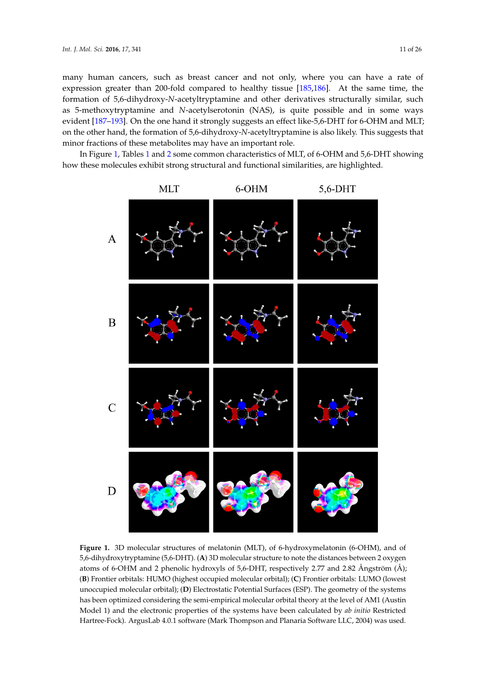many human cancers, such as breast cancer and not only, where you can have a rate of expression greater than 200-fold compared to healthy tissue [\[185](#page-23-2)[,186\]](#page-23-3). At the same time, the formation of 5,6-dihydroxy-*N*-acetyltryptamine and other derivatives structurally similar, such as 5-methoxytryptamine and *N*-acetylserotonin (NAS), is quite possible and in some ways evident [\[187–](#page-23-4)[193\]](#page-23-5). On the one hand it strongly suggests an effect like-5,6-DHT for 6-OHM and MLT; on the other hand, the formation of 5,6-dihydroxy-*N*-acetyltryptamine is also likely. This suggests that minor fractions of these metabolites may have an important role. 200-fold compared to healthy tissue [185,186]. At the same time, the formation of

In Figure [1,](#page-10-0) Tables [1](#page-11-0) and [2](#page-11-1) some common characteristics of MLT, of 6-OHM and 5,6-DHT showing how these molecules exhibit strong structural and functional similarities, are highlighted.

<span id="page-10-0"></span>

**Figure 1.** 3D molecular structures of melatonin (MLT), of 6-hydroxymelatonin (6-OHM), and of **Figure 1.** 3D molecular structures of melatonin (MLT), of 6-hydroxymelatonin (6-OHM), and of 5,6-dihydroxytryptamine (5,6-DHT). (**A**) 3D molecular structure to note the distances between 2 5,6-dihydroxytryptamine (5,6-DHT). (**A**) 3D molecular structure to note the distances between 2 oxygen oxygen atoms of 6-OHM and 2 phenolic hydroxyls of 5,6-DHT, respectively 2.77 and 2.82 Ångström (**B**) Frontier orbitals: HUMO (highest occupied molecular orbital); (**C**) Frontier orbitals: LUMO (lowest unoccupied molecular orbital); (D) Electrostatic Potential Surfaces (ESP). The geometry of the systems has been optimized considering the semi-empirical molecular orbital theory at the level of AM1 (Austin Model 1) and the electronic properties of the systems have been calculated by *ab initio* Restricted Hartree-Fock). ArgusLab 4.0.1 software (Mark Thompson and Planaria Software LLC, 2004) was used. atoms of 6-OHM and 2 phenolic hydroxyls of 5,6-DHT, respectively 2.77 and 2.82 Ångström (Å);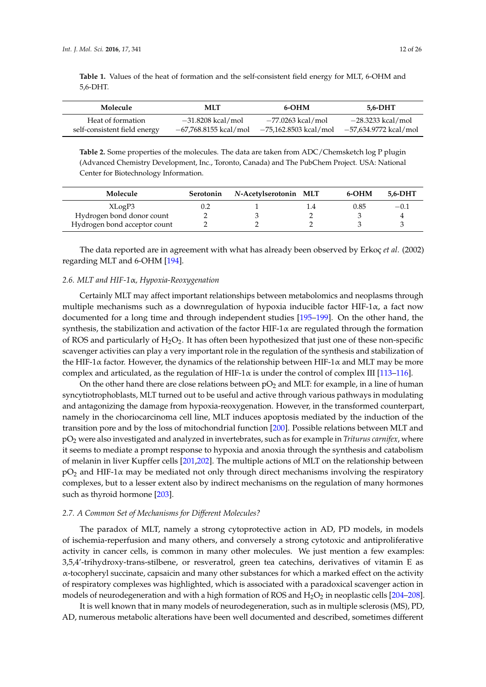<span id="page-11-0"></span>**Table 1.** Values of the heat of formation and the self-consistent field energy for MLT, 6-OHM and 5,6-DHT.

| Molecule                     | <b>MLT</b>            | 6-OHM                 | 5.6-DHT               |
|------------------------------|-----------------------|-----------------------|-----------------------|
| Heat of formation            | $-31.8208$ kcal/mol   | -77.0263 kcal/mol     | -28.3233 kcal/mol     |
| self-consistent field energy | -67,768.8155 kcal/mol | -75,162.8503 kcal/mol | -57,634.9772 kcal/mol |

<span id="page-11-1"></span>**Table 2.** Some properties of the molecules. The data are taken from ADC/Chemsketch log P plugin (Advanced Chemistry Development, Inc., Toronto, Canada) and The PubChem Project. USA: National Center for Biotechnology Information.

| Molecule                     | Serotonin | N-Acetylserotonin MLT | 6-OHM | 5.6-DHT |
|------------------------------|-----------|-----------------------|-------|---------|
| XLogP3                       |           |                       | 0.85  | $-0.1$  |
| Hydrogen bond donor count    |           |                       |       |         |
| Hydrogen bond acceptor count |           |                       |       |         |

The data reported are in agreement with what has already been observed by Erkoç *et al.* (2002) regarding MLT and 6-OHM [\[194\]](#page-23-6).

# *2.6. MLT and HIF-1*α*, Hypoxia-Reoxygenation*

Certainly MLT may affect important relationships between metabolomics and neoplasms through multiple mechanisms such as a downregulation of hypoxia inducible factor HIF-1 $\alpha$ , a fact now documented for a long time and through independent studies [\[195](#page-23-7)[–199\]](#page-23-8). On the other hand, the synthesis, the stabilization and activation of the factor HIF-1 $\alpha$  are regulated through the formation of ROS and particularly of  $H_2O_2$ . It has often been hypothesized that just one of these non-specific scavenger activities can play a very important role in the regulation of the synthesis and stabilization of the HIF-1 $\alpha$  factor. However, the dynamics of the relationship between HIF-1 $\alpha$  and MLT may be more complex and articulated, as the regulation of HIF-1 $\alpha$  is under the control of complex III [\[113](#page-19-8)[–116\]](#page-19-14).

On the other hand there are close relations between  $pO<sub>2</sub>$  and MLT: for example, in a line of human syncytiotrophoblasts, MLT turned out to be useful and active through various pathways in modulating and antagonizing the damage from hypoxia-reoxygenation. However, in the transformed counterpart, namely in the choriocarcinoma cell line, MLT induces apoptosis mediated by the induction of the transition pore and by the loss of mitochondrial function [\[200\]](#page-23-9). Possible relations between MLT and pO<sup>2</sup> were also investigated and analyzed in invertebrates, such as for example in *Triturus carnifex*, where it seems to mediate a prompt response to hypoxia and anoxia through the synthesis and catabolism of melanin in liver Kupffer cells [\[201](#page-23-10)[,202\]](#page-23-11). The multiple actions of MLT on the relationship between  $pO<sub>2</sub>$  and HIF-1 $\alpha$  may be mediated not only through direct mechanisms involving the respiratory complexes, but to a lesser extent also by indirect mechanisms on the regulation of many hormones such as thyroid hormone [\[203\]](#page-23-12).

# *2.7. A Common Set of Mechanisms for Different Molecules?*

The paradox of MLT, namely a strong cytoprotective action in AD, PD models, in models of ischemia-reperfusion and many others, and conversely a strong cytotoxic and antiproliferative activity in cancer cells, is common in many other molecules. We just mention a few examples: 3,5,4'-trihydroxy-trans-stilbene, or resveratrol, green tea catechins, derivatives of vitamin E as  $\alpha$ -tocopheryl succinate, capsaicin and many other substances for which a marked effect on the activity of respiratory complexes was highlighted, which is associated with a paradoxical scavenger action in models of neurodegeneration and with a high formation of ROS and  $H_2O_2$  in neoplastic cells [\[204–](#page-23-13)[208\]](#page-24-0).

It is well known that in many models of neurodegeneration, such as in multiple sclerosis (MS), PD, AD, numerous metabolic alterations have been well documented and described, sometimes different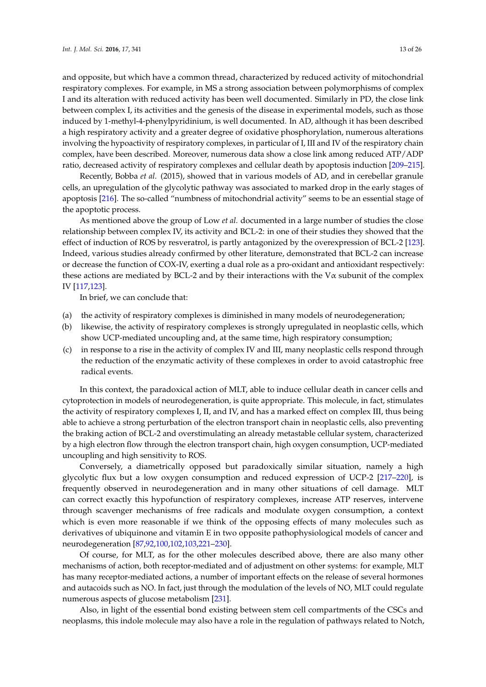and opposite, but which have a common thread, characterized by reduced activity of mitochondrial respiratory complexes. For example, in MS a strong association between polymorphisms of complex I and its alteration with reduced activity has been well documented. Similarly in PD, the close link between complex I, its activities and the genesis of the disease in experimental models, such as those induced by 1-methyl-4-phenylpyridinium, is well documented. In AD, although it has been described a high respiratory activity and a greater degree of oxidative phosphorylation, numerous alterations involving the hypoactivity of respiratory complexes, in particular of I, III and IV of the respiratory chain complex, have been described. Moreover, numerous data show a close link among reduced ATP/ADP ratio, decreased activity of respiratory complexes and cellular death by apoptosis induction [\[209–](#page-24-1)[215\]](#page-24-2).

Recently, Bobba *et al.* (2015), showed that in various models of AD, and in cerebellar granule cells, an upregulation of the glycolytic pathway was associated to marked drop in the early stages of apoptosis [\[216\]](#page-24-3). The so-called "numbness of mitochondrial activity" seems to be an essential stage of the apoptotic process.

As mentioned above the group of Low *et al.* documented in a large number of studies the close relationship between complex IV, its activity and BCL-2: in one of their studies they showed that the effect of induction of ROS by resveratrol, is partly antagonized by the overexpression of BCL-2 [\[123\]](#page-20-1). Indeed, various studies already confirmed by other literature, demonstrated that BCL-2 can increase or decrease the function of COX-IV, exerting a dual role as a pro-oxidant and antioxidant respectively: these actions are mediated by BCL-2 and by their interactions with the V $\alpha$  subunit of the complex IV [\[117](#page-19-13)[,123\]](#page-20-1).

In brief, we can conclude that:

- (a) the activity of respiratory complexes is diminished in many models of neurodegeneration;
- (b) likewise, the activity of respiratory complexes is strongly upregulated in neoplastic cells, which show UCP-mediated uncoupling and, at the same time, high respiratory consumption;
- (c) in response to a rise in the activity of complex IV and III, many neoplastic cells respond through the reduction of the enzymatic activity of these complexes in order to avoid catastrophic free radical events.

In this context, the paradoxical action of MLT, able to induce cellular death in cancer cells and cytoprotection in models of neurodegeneration, is quite appropriate. This molecule, in fact, stimulates the activity of respiratory complexes I, II, and IV, and has a marked effect on complex III, thus being able to achieve a strong perturbation of the electron transport chain in neoplastic cells, also preventing the braking action of BCL-2 and overstimulating an already metastable cellular system, characterized by a high electron flow through the electron transport chain, high oxygen consumption, UCP-mediated uncoupling and high sensitivity to ROS.

Conversely, a diametrically opposed but paradoxically similar situation, namely a high glycolytic flux but a low oxygen consumption and reduced expression of UCP-2 [\[217–](#page-24-4)[220\]](#page-24-5), is frequently observed in neurodegeneration and in many other situations of cell damage. MLT can correct exactly this hypofunction of respiratory complexes, increase ATP reserves, intervene through scavenger mechanisms of free radicals and modulate oxygen consumption, a context which is even more reasonable if we think of the opposing effects of many molecules such as derivatives of ubiquinone and vitamin E in two opposite pathophysiological models of cancer and neurodegeneration [\[87,](#page-18-8)[92,](#page-18-3)[100,](#page-18-9)[102](#page-19-15)[,103](#page-19-0)[,221](#page-24-6)[–230\]](#page-25-0).

Of course, for MLT, as for the other molecules described above, there are also many other mechanisms of action, both receptor-mediated and of adjustment on other systems: for example, MLT has many receptor-mediated actions, a number of important effects on the release of several hormones and autacoids such as NO. In fact, just through the modulation of the levels of NO, MLT could regulate numerous aspects of glucose metabolism [\[231\]](#page-25-1).

Also, in light of the essential bond existing between stem cell compartments of the CSCs and neoplasms, this indole molecule may also have a role in the regulation of pathways related to Notch,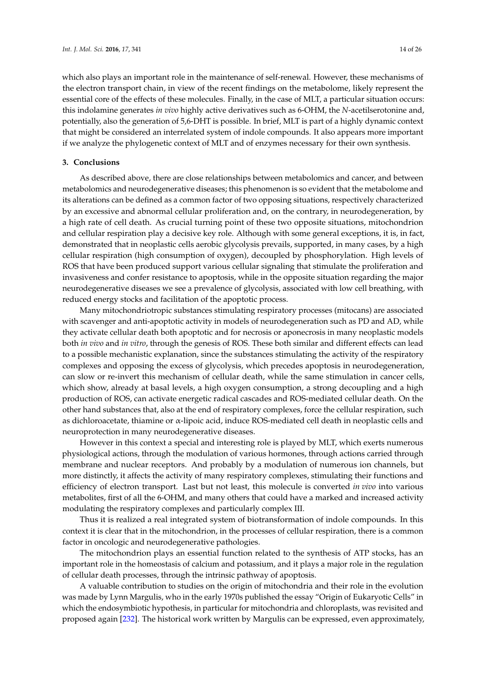which also plays an important role in the maintenance of self-renewal. However, these mechanisms of the electron transport chain, in view of the recent findings on the metabolome, likely represent the essential core of the effects of these molecules. Finally, in the case of MLT, a particular situation occurs: this indolamine generates *in vivo* highly active derivatives such as 6-OHM, the *N*-acetilserotonine and, potentially, also the generation of 5,6-DHT is possible. In brief, MLT is part of a highly dynamic context that might be considered an interrelated system of indole compounds. It also appears more important if we analyze the phylogenetic context of MLT and of enzymes necessary for their own synthesis.

# **3. Conclusions**

As described above, there are close relationships between metabolomics and cancer, and between metabolomics and neurodegenerative diseases; this phenomenon is so evident that the metabolome and its alterations can be defined as a common factor of two opposing situations, respectively characterized by an excessive and abnormal cellular proliferation and, on the contrary, in neurodegeneration, by a high rate of cell death. As crucial turning point of these two opposite situations, mitochondrion and cellular respiration play a decisive key role. Although with some general exceptions, it is, in fact, demonstrated that in neoplastic cells aerobic glycolysis prevails, supported, in many cases, by a high cellular respiration (high consumption of oxygen), decoupled by phosphorylation. High levels of ROS that have been produced support various cellular signaling that stimulate the proliferation and invasiveness and confer resistance to apoptosis, while in the opposite situation regarding the major neurodegenerative diseases we see a prevalence of glycolysis, associated with low cell breathing, with reduced energy stocks and facilitation of the apoptotic process.

Many mitochondriotropic substances stimulating respiratory processes (mitocans) are associated with scavenger and anti-apoptotic activity in models of neurodegeneration such as PD and AD, while they activate cellular death both apoptotic and for necrosis or aponecrosis in many neoplastic models both *in vivo* and *in vitro*, through the genesis of ROS. These both similar and different effects can lead to a possible mechanistic explanation, since the substances stimulating the activity of the respiratory complexes and opposing the excess of glycolysis, which precedes apoptosis in neurodegeneration, can slow or re-invert this mechanism of cellular death, while the same stimulation in cancer cells, which show, already at basal levels, a high oxygen consumption, a strong decoupling and a high production of ROS, can activate energetic radical cascades and ROS-mediated cellular death. On the other hand substances that, also at the end of respiratory complexes, force the cellular respiration, such as dichloroacetate, thiamine or α-lipoic acid, induce ROS-mediated cell death in neoplastic cells and neuroprotection in many neurodegenerative diseases.

However in this context a special and interesting role is played by MLT, which exerts numerous physiological actions, through the modulation of various hormones, through actions carried through membrane and nuclear receptors. And probably by a modulation of numerous ion channels, but more distinctly, it affects the activity of many respiratory complexes, stimulating their functions and efficiency of electron transport. Last but not least, this molecule is converted *in vivo* into various metabolites, first of all the 6-OHM, and many others that could have a marked and increased activity modulating the respiratory complexes and particularly complex III.

Thus it is realized a real integrated system of biotransformation of indole compounds. In this context it is clear that in the mitochondrion, in the processes of cellular respiration, there is a common factor in oncologic and neurodegenerative pathologies.

The mitochondrion plays an essential function related to the synthesis of ATP stocks, has an important role in the homeostasis of calcium and potassium, and it plays a major role in the regulation of cellular death processes, through the intrinsic pathway of apoptosis.

A valuable contribution to studies on the origin of mitochondria and their role in the evolution was made by Lynn Margulis, who in the early 1970s published the essay "Origin of Eukaryotic Cells" in which the endosymbiotic hypothesis, in particular for mitochondria and chloroplasts, was revisited and proposed again [\[232\]](#page-25-2). The historical work written by Margulis can be expressed, even approximately,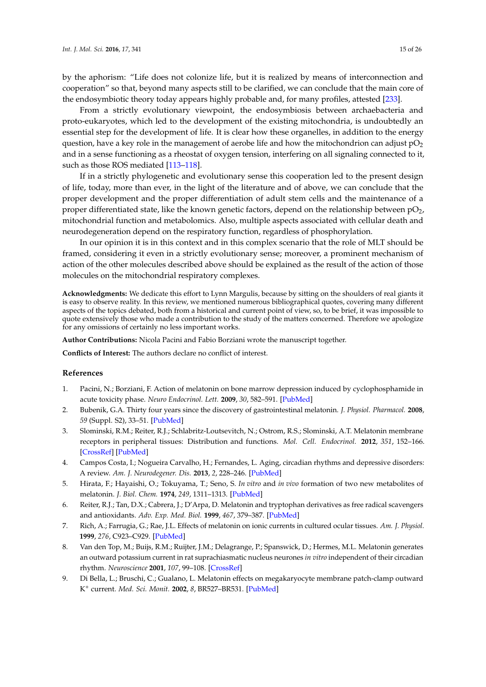by the aphorism: "Life does not colonize life, but it is realized by means of interconnection and cooperation" so that, beyond many aspects still to be clarified, we can conclude that the main core of the endosymbiotic theory today appears highly probable and, for many profiles, attested [\[233\]](#page-25-3).

From a strictly evolutionary viewpoint, the endosymbiosis between archaebacteria and proto-eukaryotes, which led to the development of the existing mitochondria, is undoubtedly an essential step for the development of life. It is clear how these organelles, in addition to the energy question, have a key role in the management of aerobe life and how the mitochondrion can adjust  $pO<sub>2</sub>$ and in a sense functioning as a rheostat of oxygen tension, interfering on all signaling connected to it, such as those ROS mediated [\[113–](#page-19-8)[118\]](#page-19-9).

If in a strictly phylogenetic and evolutionary sense this cooperation led to the present design of life, today, more than ever, in the light of the literature and of above, we can conclude that the proper development and the proper differentiation of adult stem cells and the maintenance of a proper differentiated state, like the known genetic factors, depend on the relationship between  $pO<sub>2</sub>$ , mitochondrial function and metabolomics. Also, multiple aspects associated with cellular death and neurodegeneration depend on the respiratory function, regardless of phosphorylation.

In our opinion it is in this context and in this complex scenario that the role of MLT should be framed, considering it even in a strictly evolutionary sense; moreover, a prominent mechanism of action of the other molecules described above should be explained as the result of the action of those molecules on the mitochondrial respiratory complexes.

**Acknowledgments:** We dedicate this effort to Lynn Margulis, because by sitting on the shoulders of real giants it is easy to observe reality. In this review, we mentioned numerous bibliographical quotes, covering many different aspects of the topics debated, both from a historical and current point of view, so, to be brief, it was impossible to quote extensively those who made a contribution to the study of the matters concerned. Therefore we apologize for any omissions of certainly no less important works.

**Author Contributions:** Nicola Pacini and Fabio Borziani wrote the manuscript together.

**Conflicts of Interest:** The authors declare no conflict of interest.

# **References**

- <span id="page-14-0"></span>1. Pacini, N.; Borziani, F. Action of melatonin on bone marrow depression induced by cyclophosphamide in acute toxicity phase. *Neuro Endocrinol. Lett.* **2009**, *30*, 582–591. [\[PubMed\]](http://www.ncbi.nlm.nih.gov/pubmed/20035269)
- <span id="page-14-1"></span>2. Bubenik, G.A. Thirty four years since the discovery of gastrointestinal melatonin. *J. Physiol. Pharmacol.* **2008**, *59* (Suppl. S2), 33–51. [\[PubMed\]](http://www.ncbi.nlm.nih.gov/pubmed/18812627)
- <span id="page-14-2"></span>3. Slominski, R.M.; Reiter, R.J.; Schlabritz-Loutsevitch, N.; Ostrom, R.S.; Slominski, A.T. Melatonin membrane receptors in peripheral tissues: Distribution and functions. *Mol. Cell. Endocrinol.* **2012**, *351*, 152–166. [\[CrossRef\]](http://dx.doi.org/10.1016/j.mce.2012.01.004) [\[PubMed\]](http://www.ncbi.nlm.nih.gov/pubmed/22245784)
- <span id="page-14-3"></span>4. Campos Costa, I.; Nogueira Carvalho, H.; Fernandes, L. Aging, circadian rhythms and depressive disorders: A review. *Am. J. Neurodegener. Dis.* **2013**, *2*, 228–246. [\[PubMed\]](http://www.ncbi.nlm.nih.gov/pubmed/24319642)
- <span id="page-14-4"></span>5. Hirata, F.; Hayaishi, O.; Tokuyama, T.; Seno, S. *In vitro* and *in vivo* formation of two new metabolites of melatonin. *J. Biol. Chem.* **1974**, *249*, 1311–1313. [\[PubMed\]](http://www.ncbi.nlm.nih.gov/pubmed/4814344)
- <span id="page-14-5"></span>6. Reiter, R.J.; Tan, D.X.; Cabrera, J.; D'Arpa, D. Melatonin and tryptophan derivatives as free radical scavengers and antioxidants. *Adv. Exp. Med. Biol.* **1999**, *467*, 379–387. [\[PubMed\]](http://www.ncbi.nlm.nih.gov/pubmed/10721079)
- <span id="page-14-6"></span>7. Rich, A.; Farrugia, G.; Rae, J.L. Effects of melatonin on ionic currents in cultured ocular tissues. *Am. J. Physiol.* **1999**, *276*, C923–C929. [\[PubMed\]](http://www.ncbi.nlm.nih.gov/pubmed/10199824)
- 8. Van den Top, M.; Buijs, R.M.; Ruijter, J.M.; Delagrange, P.; Spanswick, D.; Hermes, M.L. Melatonin generates an outward potassium current in rat suprachiasmatic nucleus neurones *in vitro* independent of their circadian rhythm. *Neuroscience* **2001**, *107*, 99–108. [\[CrossRef\]](http://dx.doi.org/10.1016/S0306-4522(01)00346-3)
- <span id="page-14-7"></span>9. Di Bella, L.; Bruschi, C.; Gualano, L. Melatonin effects on megakaryocyte membrane patch-clamp outward K + current. *Med. Sci. Monit.* **2002**, *8*, BR527–BR531. [\[PubMed\]](http://www.ncbi.nlm.nih.gov/pubmed/12503031)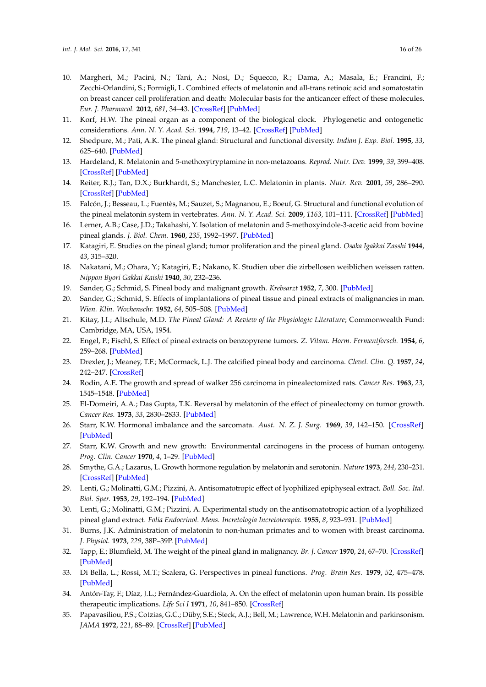- <span id="page-15-0"></span>10. Margheri, M.; Pacini, N.; Tani, A.; Nosi, D.; Squecco, R.; Dama, A.; Masala, E.; Francini, F.; Zecchi-Orlandini, S.; Formigli, L. Combined effects of melatonin and all-trans retinoic acid and somatostatin on breast cancer cell proliferation and death: Molecular basis for the anticancer effect of these molecules. *Eur. J. Pharmacol.* **2012**, *681*, 34–43. [\[CrossRef\]](http://dx.doi.org/10.1016/j.ejphar.2012.02.011) [\[PubMed\]](http://www.ncbi.nlm.nih.gov/pubmed/22532966)
- <span id="page-15-1"></span>11. Korf, H.W. The pineal organ as a component of the biological clock. Phylogenetic and ontogenetic considerations. *Ann. N. Y. Acad. Sci.* **1994**, *719*, 13–42. [\[CrossRef\]](http://dx.doi.org/10.1111/j.1749-6632.1994.tb56818.x) [\[PubMed\]](http://www.ncbi.nlm.nih.gov/pubmed/8010588)
- 12. Shedpure, M.; Pati, A.K. The pineal gland: Structural and functional diversity. *Indian J. Exp. Biol.* **1995**, *33*, 625–640. [\[PubMed\]](http://www.ncbi.nlm.nih.gov/pubmed/8557304)
- 13. Hardeland, R. Melatonin and 5-methoxytryptamine in non-metazoans. *Reprod. Nutr. Dev.* **1999**, *39*, 399–408. [\[CrossRef\]](http://dx.doi.org/10.1051/rnd:19990311) [\[PubMed\]](http://www.ncbi.nlm.nih.gov/pubmed/10420441)
- 14. Reiter, R.J.; Tan, D.X.; Burkhardt, S.; Manchester, L.C. Melatonin in plants. *Nutr. Rev.* **2001**, *59*, 286–290. [\[CrossRef\]](http://dx.doi.org/10.1111/j.1753-4887.2001.tb07018.x) [\[PubMed\]](http://www.ncbi.nlm.nih.gov/pubmed/11570431)
- <span id="page-15-2"></span>15. Falcón, J.; Besseau, L.; Fuentès, M.; Sauzet, S.; Magnanou, E.; Boeuf, G. Structural and functional evolution of the pineal melatonin system in vertebrates. *Ann. N. Y. Acad. Sci.* **2009**, *1163*, 101–111. [\[CrossRef\]](http://dx.doi.org/10.1111/j.1749-6632.2009.04435.x) [\[PubMed\]](http://www.ncbi.nlm.nih.gov/pubmed/19456332)
- <span id="page-15-3"></span>16. Lerner, A.B.; Case, J.D.; Takahashi, Y. Isolation of melatonin and 5-methoxyindole-3-acetic acid from bovine pineal glands. *J. Biol. Chem.* **1960**, *235*, 1992–1997. [\[PubMed\]](http://www.ncbi.nlm.nih.gov/pubmed/14415935)
- <span id="page-15-4"></span>17. Katagiri, E. Studies on the pineal gland; tumor proliferation and the pineal gland. *Osaka Igakkai Zasshi* **1944**, *43*, 315–320.
- <span id="page-15-5"></span>18. Nakatani, M.; Ohara, Y.; Katagiri, E.; Nakano, K. Studien uber die zirbellosen weiblichen weissen ratten. *Nippon Byori Gakkai Kaishi* **1940**, *30*, 232–236.
- <span id="page-15-6"></span>19. Sander, G.; Schmid, S. Pineal body and malignant growth. *Krebsarzt* **1952**, *7*, 300. [\[PubMed\]](http://www.ncbi.nlm.nih.gov/pubmed/13131785)
- 20. Sander, G.; Schmid, S. Effects of implantations of pineal tissue and pineal extracts of malignancies in man. *Wien. Klin. Wochenschr.* **1952**, *64*, 505–508. [\[PubMed\]](http://www.ncbi.nlm.nih.gov/pubmed/14951248)
- 21. Kitay, J.I.; Altschule, M.D. *The Pineal Gland: A Review of the Physiologic Literature*; Commonwealth Fund: Cambridge, MA, USA, 1954.
- <span id="page-15-7"></span>22. Engel, P.; Fischl, S. Effect of pineal extracts on benzopyrene tumors. *Z. Vitam. Horm. Fermentforsch.* **1954**, *6*, 259–268. [\[PubMed\]](http://www.ncbi.nlm.nih.gov/pubmed/14360460)
- <span id="page-15-8"></span>23. Drexler, J.; Meaney, T.F.; McCormack, L.J. The calcified pineal body and carcinoma. *Clevel. Clin. Q.* **1957**, *24*, 242–247. [\[CrossRef\]](http://dx.doi.org/10.3949/ccjm.24.4.242)
- <span id="page-15-9"></span>24. Rodin, A.E. The growth and spread of walker 256 carcinoma in pinealectomized rats. *Cancer Res.* **1963**, *23*, 1545–1548. [\[PubMed\]](http://www.ncbi.nlm.nih.gov/pubmed/14072694)
- <span id="page-15-10"></span>25. El-Domeiri, A.A.; Das Gupta, T.K. Reversal by melatonin of the effect of pinealectomy on tumor growth. *Cancer Res.* **1973**, *33*, 2830–2833. [\[PubMed\]](http://www.ncbi.nlm.nih.gov/pubmed/4748439)
- <span id="page-15-11"></span>26. Starr, K.W. Hormonal imbalance and the sarcomata. *Aust. N. Z. J. Surg.* **1969**, *39*, 142–150. [\[CrossRef\]](http://dx.doi.org/10.1111/j.1445-2197.1969.tb05577.x) [\[PubMed\]](http://www.ncbi.nlm.nih.gov/pubmed/4313733)
- <span id="page-15-12"></span>27. Starr, K.W. Growth and new growth: Environmental carcinogens in the process of human ontogeny. *Prog. Clin. Cancer* **1970**, *4*, 1–29. [\[PubMed\]](http://www.ncbi.nlm.nih.gov/pubmed/5416731)
- <span id="page-15-13"></span>28. Smythe, G.A.; Lazarus, L. Growth hormone regulation by melatonin and serotonin. *Nature* **1973**, *244*, 230–231. [\[CrossRef\]](http://dx.doi.org/10.1038/244230a0) [\[PubMed\]](http://www.ncbi.nlm.nih.gov/pubmed/4583097)
- <span id="page-15-14"></span>29. Lenti, G.; Molinatti, G.M.; Pizzini, A. Antisomatotropic effect of lyophilized epiphyseal extract. *Boll. Soc. Ital. Biol. Sper.* **1953**, *29*, 192–194. [\[PubMed\]](http://www.ncbi.nlm.nih.gov/pubmed/13081785)
- <span id="page-15-15"></span>30. Lenti, G.; Molinatti, G.M.; Pizzini, A. Experimental study on the antisomatotropic action of a lyophilized pineal gland extract. *Folia Endocrinol. Mens. Incretologia Incretoterapia.* **1955**, *8*, 923–931. [\[PubMed\]](http://www.ncbi.nlm.nih.gov/pubmed/13294281)
- <span id="page-15-16"></span>31. Burns, J.K. Administration of melatonin to non-human primates and to women with breast carcinoma. *J. Physiol.* **1973**, *229*, 38P–39P. [\[PubMed\]](http://www.ncbi.nlm.nih.gov/pubmed/4632142)
- <span id="page-15-17"></span>32. Tapp, E.; Blumfield, M. The weight of the pineal gland in malignancy. *Br. J. Cancer* **1970**, *24*, 67–70. [\[CrossRef\]](http://dx.doi.org/10.1038/bjc.1970.9) [\[PubMed\]](http://www.ncbi.nlm.nih.gov/pubmed/4913769)
- <span id="page-15-18"></span>33. Di Bella, L.; Rossi, M.T.; Scalera, G. Perspectives in pineal functions. *Prog. Brain Res.* **1979**, *52*, 475–478. [\[PubMed\]](http://www.ncbi.nlm.nih.gov/pubmed/549095)
- <span id="page-15-19"></span>34. Antón-Tay, F.; Díaz, J.L.; Fernández-Guardiola, A. On the effect of melatonin upon human brain. Its possible therapeutic implications. *Life Sci I* **1971**, *10*, 841–850. [\[CrossRef\]](http://dx.doi.org/10.1016/0024-3205(71)90155-X)
- <span id="page-15-20"></span>35. Papavasiliou, P.S.; Cotzias, G.C.; Düby, S.E.; Steck, A.J.; Bell, M.; Lawrence, W.H. Melatonin and parkinsonism. *JAMA* **1972**, *221*, 88–89. [\[CrossRef\]](http://dx.doi.org/10.1001/jama.1972.03200140072031) [\[PubMed\]](http://www.ncbi.nlm.nih.gov/pubmed/5067774)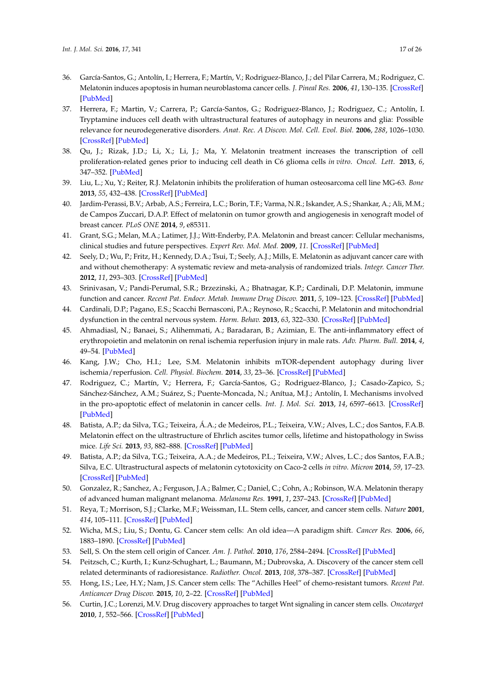- <span id="page-16-0"></span>36. García-Santos, G.; Antolín, I.; Herrera, F.; Martín, V.; Rodriguez-Blanco, J.; del Pilar Carrera, M.; Rodriguez, C. Melatonin induces apoptosis in human neuroblastoma cancer cells. *J. Pineal Res.* **2006**, *41*, 130–135. [\[CrossRef\]](http://dx.doi.org/10.1111/j.1600-079X.2006.00342.x) [\[PubMed\]](http://www.ncbi.nlm.nih.gov/pubmed/16879318)
- 37. Herrera, F.; Martin, V.; Carrera, P.; García-Santos, G.; Rodriguez-Blanco, J.; Rodriguez, C.; Antolín, I. Tryptamine induces cell death with ultrastructural features of autophagy in neurons and glia: Possible relevance for neurodegenerative disorders. *Anat. Rec. A Discov. Mol. Cell. Evol. Biol.* **2006**, *288*, 1026–1030. [\[CrossRef\]](http://dx.doi.org/10.1002/ar.a.20368) [\[PubMed\]](http://www.ncbi.nlm.nih.gov/pubmed/16892423)
- <span id="page-16-8"></span>38. Qu, J.; Rizak, J.D.; Li, X.; Li, J.; Ma, Y. Melatonin treatment increases the transcription of cell proliferation-related genes prior to inducing cell death in C6 glioma cells *in vitro*. *Oncol. Lett.* **2013**, *6*, 347–352. [\[PubMed\]](http://www.ncbi.nlm.nih.gov/pubmed/24137328)
- <span id="page-16-9"></span>39. Liu, L.; Xu, Y.; Reiter, R.J. Melatonin inhibits the proliferation of human osteosarcoma cell line MG-63. *Bone* **2013**, *55*, 432–438. [\[CrossRef\]](http://dx.doi.org/10.1016/j.bone.2013.02.021) [\[PubMed\]](http://www.ncbi.nlm.nih.gov/pubmed/23470834)
- <span id="page-16-1"></span>40. Jardim-Perassi, B.V.; Arbab, A.S.; Ferreira, L.C.; Borin, T.F.; Varma, N.R.; Iskander, A.S.; Shankar, A.; Ali, M.M.; de Campos Zuccari, D.A.P. Effect of melatonin on tumor growth and angiogenesis in xenograft model of breast cancer. *PLoS ONE* **2014**, *9*, e85311.
- <span id="page-16-2"></span>41. Grant, S.G.; Melan, M.A.; Latimer, J.J.; Witt-Enderby, P.A. Melatonin and breast cancer: Cellular mechanisms, clinical studies and future perspectives. *Expert Rev. Mol. Med.* **2009**, *11*. [\[CrossRef\]](http://dx.doi.org/10.1017/S1462399409000982) [\[PubMed\]](http://www.ncbi.nlm.nih.gov/pubmed/19193248)
- <span id="page-16-3"></span>42. Seely, D.; Wu, P.; Fritz, H.; Kennedy, D.A.; Tsui, T.; Seely, A.J.; Mills, E. Melatonin as adjuvant cancer care with and without chemotherapy: A systematic review and meta-analysis of randomized trials. *Integr. Cancer Ther.* **2012**, *11*, 293–303. [\[CrossRef\]](http://dx.doi.org/10.1177/1534735411425484) [\[PubMed\]](http://www.ncbi.nlm.nih.gov/pubmed/22019490)
- <span id="page-16-4"></span>43. Srinivasan, V.; Pandi-Perumal, S.R.; Brzezinski, A.; Bhatnagar, K.P.; Cardinali, D.P. Melatonin, immune function and cancer. *Recent Pat. Endocr. Metab. Immune Drug Discov.* **2011**, *5*, 109–123. [\[CrossRef\]](http://dx.doi.org/10.2174/187221411799015408) [\[PubMed\]](http://www.ncbi.nlm.nih.gov/pubmed/22074586)
- <span id="page-16-5"></span>44. Cardinali, D.P.; Pagano, E.S.; Scacchi Bernasconi, P.A.; Reynoso, R.; Scacchi, P. Melatonin and mitochondrial dysfunction in the central nervous system. *Horm. Behav.* **2013**, *63*, 322–330. [\[CrossRef\]](http://dx.doi.org/10.1016/j.yhbeh.2012.02.020) [\[PubMed\]](http://www.ncbi.nlm.nih.gov/pubmed/22391273)
- 45. Ahmadiasl, N.; Banaei, S.; Alihemmati, A.; Baradaran, B.; Azimian, E. The anti-inflammatory effect of erythropoietin and melatonin on renal ischemia reperfusion injury in male rats. *Adv. Pharm. Bull.* **2014**, *4*, 49–54. [\[PubMed\]](http://www.ncbi.nlm.nih.gov/pubmed/24409409)
- <span id="page-16-6"></span>46. Kang, J.W.; Cho, H.I.; Lee, S.M. Melatonin inhibits mTOR-dependent autophagy during liver ischemia/reperfusion. *Cell. Physiol. Biochem.* **2014**, *33*, 23–36. [\[CrossRef\]](http://dx.doi.org/10.1159/000356647) [\[PubMed\]](http://www.ncbi.nlm.nih.gov/pubmed/24401531)
- <span id="page-16-7"></span>47. Rodriguez, C.; Martín, V.; Herrera, F.; García-Santos, G.; Rodriguez-Blanco, J.; Casado-Zapico, S.; Sánchez-Sánchez, A.M.; Suárez, S.; Puente-Moncada, N.; Anítua, M.J.; Antolín, I. Mechanisms involved in the pro-apoptotic effect of melatonin in cancer cells. *Int. J. Mol. Sci.* **2013**, *14*, 6597–6613. [\[CrossRef\]](http://dx.doi.org/10.3390/ijms14046597) [\[PubMed\]](http://www.ncbi.nlm.nih.gov/pubmed/23528889)
- <span id="page-16-10"></span>48. Batista, A.P.; da Silva, T.G.; Teixeira, Á.A.; de Medeiros, P.L.; Teixeira, V.W.; Alves, L.C.; dos Santos, F.A.B. Melatonin effect on the ultrastructure of Ehrlich ascites tumor cells, lifetime and histopathology in Swiss mice. *Life Sci.* **2013**, *93*, 882–888. [\[CrossRef\]](http://dx.doi.org/10.1016/j.lfs.2013.10.012) [\[PubMed\]](http://www.ncbi.nlm.nih.gov/pubmed/24513199)
- <span id="page-16-11"></span>49. Batista, A.P.; da Silva, T.G.; Teixeira, A.A.; de Medeiros, P.L.; Teixeira, V.W.; Alves, L.C.; dos Santos, F.A.B.; Silva, E.C. Ultrastructural aspects of melatonin cytotoxicity on Caco-2 cells *in vitro*. *Micron* **2014**, *59*, 17–23. [\[CrossRef\]](http://dx.doi.org/10.1016/j.micron.2013.12.003) [\[PubMed\]](http://www.ncbi.nlm.nih.gov/pubmed/24530360)
- <span id="page-16-12"></span>50. Gonzalez, R.; Sanchez, A.; Ferguson, J.A.; Balmer, C.; Daniel, C.; Cohn, A.; Robinson, W.A. Melatonin therapy of advanced human malignant melanoma. *Melanoma Res.* **1991**, *1*, 237–243. [\[CrossRef\]](http://dx.doi.org/10.1097/00008390-199111000-00003) [\[PubMed\]](http://www.ncbi.nlm.nih.gov/pubmed/1823632)
- <span id="page-16-13"></span>51. Reya, T.; Morrison, S.J.; Clarke, M.F.; Weissman, I.L. Stem cells, cancer, and cancer stem cells. *Nature* **2001**, *414*, 105–111. [\[CrossRef\]](http://dx.doi.org/10.1038/35102167) [\[PubMed\]](http://www.ncbi.nlm.nih.gov/pubmed/11689955)
- 52. Wicha, M.S.; Liu, S.; Dontu, G. Cancer stem cells: An old idea—A paradigm shift. *Cancer Res.* **2006**, *66*, 1883–1890. [\[CrossRef\]](http://dx.doi.org/10.1158/0008-5472.CAN-05-3153) [\[PubMed\]](http://www.ncbi.nlm.nih.gov/pubmed/16488983)
- 53. Sell, S. On the stem cell origin of Cancer. *Am. J. Pathol.* **2010**, *176*, 2584–2494. [\[CrossRef\]](http://dx.doi.org/10.2353/ajpath.2010.091064) [\[PubMed\]](http://www.ncbi.nlm.nih.gov/pubmed/20431026)
- 54. Peitzsch, C.; Kurth, I.; Kunz-Schughart, L.; Baumann, M.; Dubrovska, A. Discovery of the cancer stem cell related determinants of radioresistance. *Radiother. Oncol.* **2013**, *108*, 378–387. [\[CrossRef\]](http://dx.doi.org/10.1016/j.radonc.2013.06.003) [\[PubMed\]](http://www.ncbi.nlm.nih.gov/pubmed/23830195)
- <span id="page-16-14"></span>55. Hong, I.S.; Lee, H.Y.; Nam, J.S. Cancer stem cells: The "Achilles Heel" of chemo-resistant tumors. *Recent Pat. Anticancer Drug Discov.* **2015**, *10*, 2–22. [\[CrossRef\]](http://dx.doi.org/10.2174/1574892809666141129172658) [\[PubMed\]](http://www.ncbi.nlm.nih.gov/pubmed/25479037)
- <span id="page-16-15"></span>56. Curtin, J.C.; Lorenzi, M.V. Drug discovery approaches to target Wnt signaling in cancer stem cells. *Oncotarget* **2010**, *1*, 552–566. [\[CrossRef\]](http://dx.doi.org/10.18632/oncotarget.191) [\[PubMed\]](http://www.ncbi.nlm.nih.gov/pubmed/21317452)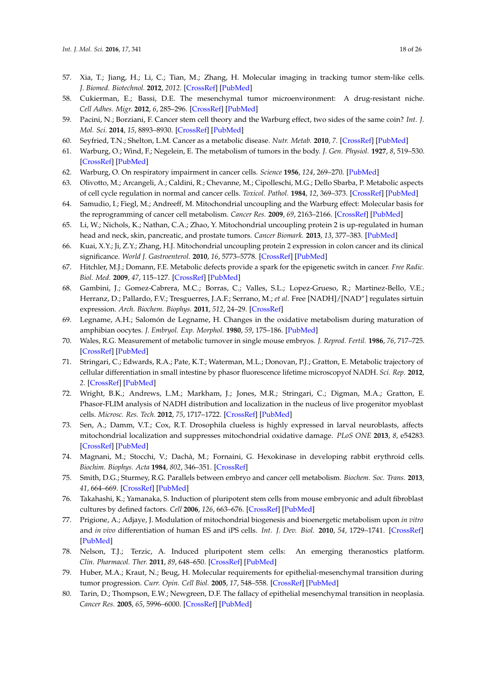- 57. Xia, T.; Jiang, H.; Li, C.; Tian, M.; Zhang, H. Molecular imaging in tracking tumor stem-like cells. *J. Biomed. Biotechnol.* **2012**, *2012*. [\[CrossRef\]](http://dx.doi.org/10.1155/2012/420364) [\[PubMed\]](http://www.ncbi.nlm.nih.gov/pubmed/22570529)
- <span id="page-17-0"></span>58. Cukierman, E.; Bassi, D.E. The mesenchymal tumor microenvironment: A drug-resistant niche. *Cell Adhes. Migr.* **2012**, *6*, 285–296. [\[CrossRef\]](http://dx.doi.org/10.4161/cam.20210) [\[PubMed\]](http://www.ncbi.nlm.nih.gov/pubmed/22568991)
- <span id="page-17-1"></span>59. Pacini, N.; Borziani, F. Cancer stem cell theory and the Warburg effect, two sides of the same coin? *Int. J. Mol. Sci.* **2014**, *15*, 8893–8930. [\[CrossRef\]](http://dx.doi.org/10.3390/ijms15058893) [\[PubMed\]](http://www.ncbi.nlm.nih.gov/pubmed/24857919)
- <span id="page-17-2"></span>60. Seyfried, T.N.; Shelton, L.M. Cancer as a metabolic disease. *Nutr. Metab.* **2010**, *7*. [\[CrossRef\]](http://dx.doi.org/10.1186/1743-7075-7-7) [\[PubMed\]](http://www.ncbi.nlm.nih.gov/pubmed/20181022)
- <span id="page-17-3"></span>61. Warburg, O.; Wind, F.; Negelein, E. The metabolism of tumors in the body. *J. Gen. Physiol.* **1927**, *8*, 519–530. [\[CrossRef\]](http://dx.doi.org/10.1085/jgp.8.6.519) [\[PubMed\]](http://www.ncbi.nlm.nih.gov/pubmed/19872213)
- <span id="page-17-4"></span>62. Warburg, O. On respiratory impairment in cancer cells. *Science* **1956**, *124*, 269–270. [\[PubMed\]](http://www.ncbi.nlm.nih.gov/pubmed/13351639)
- <span id="page-17-5"></span>63. Olivotto, M.; Arcangeli, A.; Caldini, R.; Chevanne, M.; Cipolleschi, M.G.; Dello Sbarba, P. Metabolic aspects of cell cycle regulation in normal and cancer cells. *Toxicol. Pathol.* **1984**, *12*, 369–373. [\[CrossRef\]](http://dx.doi.org/10.1177/019262338401200411) [\[PubMed\]](http://www.ncbi.nlm.nih.gov/pubmed/6533755)
- 64. Samudio, I.; Fiegl, M.; Andreeff, M. Mitochondrial uncoupling and the Warburg effect: Molecular basis for the reprogramming of cancer cell metabolism. *Cancer Res.* **2009**, *69*, 2163–2166. [\[CrossRef\]](http://dx.doi.org/10.1158/0008-5472.CAN-08-3722) [\[PubMed\]](http://www.ncbi.nlm.nih.gov/pubmed/19258498)
- <span id="page-17-18"></span>65. Li, W.; Nichols, K.; Nathan, C.A.; Zhao, Y. Mitochondrial uncoupling protein 2 is up-regulated in human head and neck, skin, pancreatic, and prostate tumors. *Cancer Biomark.* **2013**, *13*, 377–383. [\[PubMed\]](http://www.ncbi.nlm.nih.gov/pubmed/24440978)
- <span id="page-17-6"></span>66. Kuai, X.Y.; Ji, Z.Y.; Zhang, H.J. Mitochondrial uncoupling protein 2 expression in colon cancer and its clinical significance. *World J. Gastroenterol.* **2010**, *16*, 5773–5778. [\[CrossRef\]](http://dx.doi.org/10.3748/wjg.v16.i45.5773) [\[PubMed\]](http://www.ncbi.nlm.nih.gov/pubmed/21128330)
- <span id="page-17-7"></span>67. Hitchler, M.J.; Domann, F.E. Metabolic defects provide a spark for the epigenetic switch in cancer. *Free Radic. Biol. Med.* **2009**, *47*, 115–127. [\[CrossRef\]](http://dx.doi.org/10.1016/j.freeradbiomed.2009.04.010) [\[PubMed\]](http://www.ncbi.nlm.nih.gov/pubmed/19362589)
- <span id="page-17-8"></span>68. Gambini, J.; Gomez-Cabrera, M.C.; Borras, C.; Valles, S.L.; Lopez-Grueso, R.; Martinez-Bello, V.E.; Herranz, D.; Pallardo, F.V.; Tresguerres, J.A.F.; Serrano, M.; *et al*. Free [NADH]/[NAD<sup>+</sup> ] regulates sirtuin expression. *Arch. Biochem. Biophys.* **2011**, *512*, 24–29. [\[CrossRef\]](http://dx.doi.org/10.1016/j.abb.2011.04.020)
- <span id="page-17-9"></span>69. Legname, A.H.; Salomón de Legname, H. Changes in the oxidative metabolism during maturation of amphibian oocytes. *J. Embryol. Exp. Morphol.* **1980**, *59*, 175–186. [\[PubMed\]](http://www.ncbi.nlm.nih.gov/pubmed/6783727)
- 70. Wales, R.G. Measurement of metabolic turnover in single mouse embryos. *J. Reprod. Fertil.* **1986**, *76*, 717–725. [\[CrossRef\]](http://dx.doi.org/10.1530/jrf.0.0760717) [\[PubMed\]](http://www.ncbi.nlm.nih.gov/pubmed/3084773)
- <span id="page-17-11"></span>71. Stringari, C.; Edwards, R.A.; Pate, K.T.; Waterman, M.L.; Donovan, P.J.; Gratton, E. Metabolic trajectory of cellular differentiation in small intestine by phasor fluorescence lifetime microscopyof NADH. *Sci. Rep.* **2012**, *2*. [\[CrossRef\]](http://dx.doi.org/10.1038/srep00568) [\[PubMed\]](http://www.ncbi.nlm.nih.gov/pubmed/22891156)
- 72. Wright, B.K.; Andrews, L.M.; Markham, J.; Jones, M.R.; Stringari, C.; Digman, M.A.; Gratton, E. Phasor-FLIM analysis of NADH distribution and localization in the nucleus of live progenitor myoblast cells. *Microsc. Res. Tech.* **2012**, *75*, 1717–1722. [\[CrossRef\]](http://dx.doi.org/10.1002/jemt.22121) [\[PubMed\]](http://www.ncbi.nlm.nih.gov/pubmed/23019116)
- <span id="page-17-10"></span>73. Sen, A.; Damm, V.T.; Cox, R.T. Drosophila clueless is highly expressed in larval neuroblasts, affects mitochondrial localization and suppresses mitochondrial oxidative damage. *PLoS ONE* **2013**, *8*, e54283. [\[CrossRef\]](http://dx.doi.org/10.1371/journal.pone.0054283) [\[PubMed\]](http://www.ncbi.nlm.nih.gov/pubmed/23342118)
- <span id="page-17-12"></span>74. Magnani, M.; Stocchi, V.; Dachà, M.; Fornaini, G. Hexokinase in developing rabbit erythroid cells. *Biochim. Biophys. Acta* **1984**, *802*, 346–351. [\[CrossRef\]](http://dx.doi.org/10.1016/0304-4165(84)90182-X)
- <span id="page-17-13"></span>75. Smith, D.G.; Sturmey, R.G. Parallels between embryo and cancer cell metabolism. *Biochem. Soc. Trans.* **2013**, *41*, 664–669. [\[CrossRef\]](http://dx.doi.org/10.1042/BST20120352) [\[PubMed\]](http://www.ncbi.nlm.nih.gov/pubmed/23514173)
- <span id="page-17-14"></span>76. Takahashi, K.; Yamanaka, S. Induction of pluripotent stem cells from mouse embryonic and adult fibroblast cultures by defined factors. *Cell* **2006**, *126*, 663–676. [\[CrossRef\]](http://dx.doi.org/10.1016/j.cell.2006.07.024) [\[PubMed\]](http://www.ncbi.nlm.nih.gov/pubmed/16904174)
- 77. Prigione, A.; Adjaye, J. Modulation of mitochondrial biogenesis and bioenergetic metabolism upon *in vitro* and *in vivo* differentiation of human ES and iPS cells. *Int. J. Dev. Biol.* **2010**, *54*, 1729–1741. [\[CrossRef\]](http://dx.doi.org/10.1387/ijdb.103198ap) [\[PubMed\]](http://www.ncbi.nlm.nih.gov/pubmed/21305470)
- <span id="page-17-15"></span>78. Nelson, T.J.; Terzic, A. Induced pluripotent stem cells: An emerging theranostics platform. *Clin. Pharmacol. Ther.* **2011**, *89*, 648–650. [\[CrossRef\]](http://dx.doi.org/10.1038/clpt.2010.304) [\[PubMed\]](http://www.ncbi.nlm.nih.gov/pubmed/21512525)
- <span id="page-17-16"></span>79. Huber, M.A.; Kraut, N.; Beug, H. Molecular requirements for epithelial-mesenchymal transition during tumor progression. *Curr. Opin. Cell Biol.* **2005**, *17*, 548–558. [\[CrossRef\]](http://dx.doi.org/10.1016/j.ceb.2005.08.001) [\[PubMed\]](http://www.ncbi.nlm.nih.gov/pubmed/16098727)
- <span id="page-17-17"></span>80. Tarin, D.; Thompson, E.W.; Newgreen, D.F. The fallacy of epithelial mesenchymal transition in neoplasia. *Cancer Res.* **2005**, *65*, 5996–6000. [\[CrossRef\]](http://dx.doi.org/10.1158/0008-5472.CAN-05-0699) [\[PubMed\]](http://www.ncbi.nlm.nih.gov/pubmed/16024596)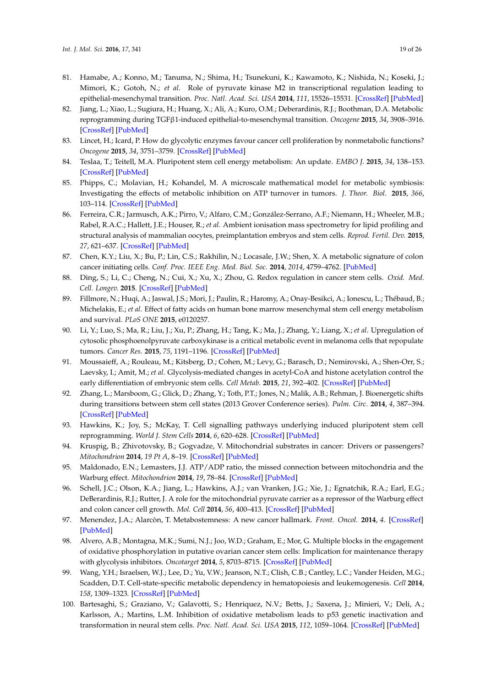- <span id="page-18-0"></span>81. Hamabe, A.; Konno, M.; Tanuma, N.; Shima, H.; Tsunekuni, K.; Kawamoto, K.; Nishida, N.; Koseki, J.; Mimori, K.; Gotoh, N.; *et al*. Role of pyruvate kinase M2 in transcriptional regulation leading to epithelial-mesenchymal transition. *Proc. Natl. Acad. Sci. USA* **2014**, *111*, 15526–15531. [\[CrossRef\]](http://dx.doi.org/10.1073/pnas.1407717111) [\[PubMed\]](http://www.ncbi.nlm.nih.gov/pubmed/25313085)
- <span id="page-18-1"></span>82. Jiang, L.; Xiao, L.; Sugiura, H.; Huang, X.; Ali, A.; Kuro, O.M.; Deberardinis, R.J.; Boothman, D.A. Metabolic reprogramming during TGFβ1-induced epithelial-to-mesenchymal transition. *Oncogene* **2015**, *34*, 3908–3916. [\[CrossRef\]](http://dx.doi.org/10.1038/onc.2014.321) [\[PubMed\]](http://www.ncbi.nlm.nih.gov/pubmed/25284588)
- <span id="page-18-2"></span>83. Lincet, H.; Icard, P. How do glycolytic enzymes favour cancer cell proliferation by nonmetabolic functions? *Oncogene* **2015**, *34*, 3751–3759. [\[CrossRef\]](http://dx.doi.org/10.1038/onc.2014.320) [\[PubMed\]](http://www.ncbi.nlm.nih.gov/pubmed/25263450)
- 84. Teslaa, T.; Teitell, M.A. Pluripotent stem cell energy metabolism: An update. *EMBO J.* **2015**, *34*, 138–153. [\[CrossRef\]](http://dx.doi.org/10.15252/embj.201490446) [\[PubMed\]](http://www.ncbi.nlm.nih.gov/pubmed/25476451)
- 85. Phipps, C.; Molavian, H.; Kohandel, M. A microscale mathematical model for metabolic symbiosis: Investigating the effects of metabolic inhibition on ATP turnover in tumors. *J. Theor. Biol.* **2015**, *366*, 103–114. [\[CrossRef\]](http://dx.doi.org/10.1016/j.jtbi.2014.11.016) [\[PubMed\]](http://www.ncbi.nlm.nih.gov/pubmed/25433213)
- 86. Ferreira, C.R.; Jarmusch, A.K.; Pirro, V.; Alfaro, C.M.; González-Serrano, A.F.; Niemann, H.; Wheeler, M.B.; Rabel, R.A.C.; Hallett, J.E.; Houser, R.; *et al*. Ambient ionisation mass spectrometry for lipid profiling and structural analysis of mammalian oocytes, preimplantation embryos and stem cells. *Reprod. Fertil. Dev.* **2015**, *27*, 621–637. [\[CrossRef\]](http://dx.doi.org/10.1071/RD14310) [\[PubMed\]](http://www.ncbi.nlm.nih.gov/pubmed/25763644)
- <span id="page-18-8"></span>87. Chen, K.Y.; Liu, X.; Bu, P.; Lin, C.S.; Rakhilin, N.; Locasale, J.W.; Shen, X. A metabolic signature of colon cancer initiating cells. *Conf. Proc. IEEE Eng. Med. Biol. Soc.* **2014**, *2014*, 4759–4762. [\[PubMed\]](http://www.ncbi.nlm.nih.gov/pubmed/25571056)
- 88. Ding, S.; Li, C.; Cheng, N.; Cui, X.; Xu, X.; Zhou, G. Redox regulation in cancer stem cells. *Oxid. Med. Cell. Longev.* **2015**. [\[CrossRef\]](http://dx.doi.org/10.1155/2015/750798) [\[PubMed\]](http://www.ncbi.nlm.nih.gov/pubmed/26273424)
- 89. Fillmore, N.; Huqi, A.; Jaswal, J.S.; Mori, J.; Paulin, R.; Haromy, A.; Onay-Besikci, A.; Ionescu, L.; Thébaud, B.; Michelakis, E.; *et al*. Effect of fatty acids on human bone marrow mesenchymal stem cell energy metabolism and survival. *PLoS ONE* **2015**, e0120257.
- 90. Li, Y.; Luo, S.; Ma, R.; Liu, J.; Xu, P.; Zhang, H.; Tang, K.; Ma, J.; Zhang, Y.; Liang, X.; *et al*. Upregulation of cytosolic phosphoenolpyruvate carboxykinase is a critical metabolic event in melanoma cells that repopulate tumors. *Cancer Res.* **2015**, *75*, 1191–1196. [\[CrossRef\]](http://dx.doi.org/10.1158/0008-5472.CAN-14-2615) [\[PubMed\]](http://www.ncbi.nlm.nih.gov/pubmed/25712344)
- 91. Moussaieff, A.; Rouleau, M.; Kitsberg, D.; Cohen, M.; Levy, G.; Barasch, D.; Nemirovski, A.; Shen-Orr, S.; Laevsky, I.; Amit, M.; *et al*. Glycolysis-mediated changes in acetyl-CoA and histone acetylation control the early differentiation of embryonic stem cells. *Cell Metab.* **2015**, *21*, 392–402. [\[CrossRef\]](http://dx.doi.org/10.1016/j.cmet.2015.02.002) [\[PubMed\]](http://www.ncbi.nlm.nih.gov/pubmed/25738455)
- <span id="page-18-3"></span>92. Zhang, L.; Marsboom, G.; Glick, D.; Zhang, Y.; Toth, P.T.; Jones, N.; Malik, A.B.; Rehman, J. Bioenergetic shifts during transitions between stem cell states (2013 Grover Conference series). *Pulm. Circ.* **2014**, *4*, 387–394. [\[CrossRef\]](http://dx.doi.org/10.1086/677353) [\[PubMed\]](http://www.ncbi.nlm.nih.gov/pubmed/25621152)
- <span id="page-18-4"></span>93. Hawkins, K.; Joy, S.; McKay, T. Cell signalling pathways underlying induced pluripotent stem cell reprogramming. *World J. Stem Cells* **2014**, *6*, 620–628. [\[CrossRef\]](http://dx.doi.org/10.4252/wjsc.v6.i5.620) [\[PubMed\]](http://www.ncbi.nlm.nih.gov/pubmed/25426259)
- 94. Kruspig, B.; Zhivotovsky, B.; Gogvadze, V. Mitochondrial substrates in cancer: Drivers or passengers? *Mitochondrion* **2014**, *19 Pt A*, 8–19. [\[CrossRef\]](http://dx.doi.org/10.1016/j.mito.2014.08.007) [\[PubMed\]](http://www.ncbi.nlm.nih.gov/pubmed/25179741)
- 95. Maldonado, E.N.; Lemasters, J.J. ATP/ADP ratio, the missed connection between mitochondria and the Warburg effect. *Mitochondrion* **2014**, *19*, 78–84. [\[CrossRef\]](http://dx.doi.org/10.1016/j.mito.2014.09.002) [\[PubMed\]](http://www.ncbi.nlm.nih.gov/pubmed/25229666)
- <span id="page-18-5"></span>96. Schell, J.C.; Olson, K.A.; Jiang, L.; Hawkins, A.J.; van Vranken, J.G.; Xie, J.; Egnatchik, R.A.; Earl, E.G.; DeBerardinis, R.J.; Rutter, J. A role for the mitochondrial pyruvate carrier as a repressor of the Warburg effect and colon cancer cell growth. *Mol. Cell* **2014**, *56*, 400–413. [\[CrossRef\]](http://dx.doi.org/10.1016/j.molcel.2014.09.026) [\[PubMed\]](http://www.ncbi.nlm.nih.gov/pubmed/25458841)
- <span id="page-18-6"></span>97. Menendez, J.A.; Alarcòn, T. Metabostemness: A new cancer hallmark. *Front. Oncol.* **2014**, *4*. [\[CrossRef\]](http://dx.doi.org/10.3389/fonc.2014.00262) [\[PubMed\]](http://www.ncbi.nlm.nih.gov/pubmed/25325014)
- <span id="page-18-7"></span>98. Alvero, A.B.; Montagna, M.K.; Sumi, N.J.; Joo, W.D.; Graham, E.; Mor, G. Multiple blocks in the engagement of oxidative phosphorylation in putative ovarian cancer stem cells: Implication for maintenance therapy with glycolysis inhibitors. *Oncotarget* **2014**, *5*, 8703–8715. [\[CrossRef\]](http://dx.doi.org/10.18632/oncotarget.2367) [\[PubMed\]](http://www.ncbi.nlm.nih.gov/pubmed/25237928)
- 99. Wang, Y.H.; Israelsen, W.J.; Lee, D.; Yu, V.W.; Jeanson, N.T.; Clish, C.B.; Cantley, L.C.; Vander Heiden, M.G.; Scadden, D.T. Cell-state-specific metabolic dependency in hematopoiesis and leukemogenesis. *Cell* **2014**, *158*, 1309–1323. [\[CrossRef\]](http://dx.doi.org/10.1016/j.cell.2014.07.048) [\[PubMed\]](http://www.ncbi.nlm.nih.gov/pubmed/25215489)
- <span id="page-18-9"></span>100. Bartesaghi, S.; Graziano, V.; Galavotti, S.; Henriquez, N.V.; Betts, J.; Saxena, J.; Minieri, V.; Deli, A.; Karlsson, A.; Martins, L.M. Inhibition of oxidative metabolism leads to p53 genetic inactivation and transformation in neural stem cells. *Proc. Natl. Acad. Sci. USA* **2015**, *112*, 1059–1064. [\[CrossRef\]](http://dx.doi.org/10.1073/pnas.1413165112) [\[PubMed\]](http://www.ncbi.nlm.nih.gov/pubmed/25583481)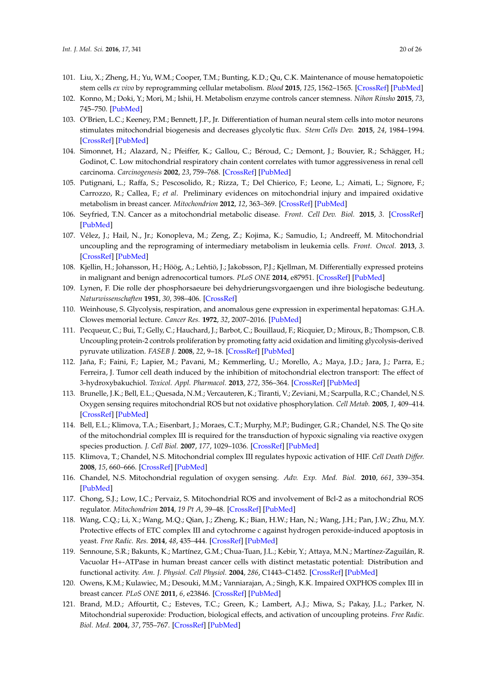- 101. Liu, X.; Zheng, H.; Yu, W.M.; Cooper, T.M.; Bunting, K.D.; Qu, C.K. Maintenance of mouse hematopoietic stem cells *ex vivo* by reprogramming cellular metabolism. *Blood* **2015**, *125*, 1562–1565. [\[CrossRef\]](http://dx.doi.org/10.1182/blood-2014-04-568949) [\[PubMed\]](http://www.ncbi.nlm.nih.gov/pubmed/25593337)
- <span id="page-19-15"></span>102. Konno, M.; Doki, Y.; Mori, M.; Ishii, H. Metabolism enzyme controls cancer stemness. *Nihon Rinsho* **2015**, *73*, 745–750. [\[PubMed\]](http://www.ncbi.nlm.nih.gov/pubmed/25985625)
- <span id="page-19-0"></span>103. O'Brien, L.C.; Keeney, P.M.; Bennett, J.P., Jr. Differentiation of human neural stem cells into motor neurons stimulates mitochondrial biogenesis and decreases glycolytic flux. *Stem Cells Dev.* **2015**, *24*, 1984–1994. [\[CrossRef\]](http://dx.doi.org/10.1089/scd.2015.0076) [\[PubMed\]](http://www.ncbi.nlm.nih.gov/pubmed/25892363)
- <span id="page-19-1"></span>104. Simonnet, H.; Alazard, N.; Pfeiffer, K.; Gallou, C.; Béroud, C.; Demont, J.; Bouvier, R.; Schägger, H.; Godinot, C. Low mitochondrial respiratory chain content correlates with tumor aggressiveness in renal cell carcinoma. *Carcinogenesis* **2002**, *23*, 759–768. [\[CrossRef\]](http://dx.doi.org/10.1093/carcin/23.5.759) [\[PubMed\]](http://www.ncbi.nlm.nih.gov/pubmed/12016148)
- 105. Putignani, L.; Raffa, S.; Pescosolido, R.; Rizza, T.; Del Chierico, F.; Leone, L.; Aimati, L.; Signore, F.; Carrozzo, R.; Callea, F.; *et al*. Preliminary evidences on mitochondrial injury and impaired oxidative metabolism in breast cancer. *Mitochondrion* **2012**, *12*, 363–369. [\[CrossRef\]](http://dx.doi.org/10.1016/j.mito.2012.02.003) [\[PubMed\]](http://www.ncbi.nlm.nih.gov/pubmed/22366096)
- 106. Seyfried, T.N. Cancer as a mitochondrial metabolic disease. *Front. Cell Dev. Biol.* **2015**, *3*. [\[CrossRef\]](http://dx.doi.org/10.3389/fcell.2015.00043) [\[PubMed\]](http://www.ncbi.nlm.nih.gov/pubmed/26217661)
- <span id="page-19-5"></span>107. Vélez, J.; Hail, N., Jr.; Konopleva, M.; Zeng, Z.; Kojima, K.; Samudio, I.; Andreeff, M. Mitochondrial uncoupling and the reprograming of intermediary metabolism in leukemia cells. *Front. Oncol.* **2013**, *3*. [\[CrossRef\]](http://dx.doi.org/10.3389/fonc.2013.00067) [\[PubMed\]](http://www.ncbi.nlm.nih.gov/pubmed/23565503)
- <span id="page-19-2"></span>108. Kjellin, H.; Johansson, H.; Höög, A.; Lehtiö, J.; Jakobsson, P.J.; Kjellman, M. Differentially expressed proteins in malignant and benign adrenocortical tumors. *PLoS ONE* **2014**, e87951. [\[CrossRef\]](http://dx.doi.org/10.1371/journal.pone.0087951) [\[PubMed\]](http://www.ncbi.nlm.nih.gov/pubmed/24498411)
- <span id="page-19-3"></span>109. Lynen, F. Die rolle der phosphorsaeure bei dehydrierungsvorgaengen und ihre biologische bedeutung. *Naturwissenschaften* **1951**, *30*, 398–406. [\[CrossRef\]](http://dx.doi.org/10.1007/BF01475305)
- <span id="page-19-4"></span>110. Weinhouse, S. Glycolysis, respiration, and anomalous gene expression in experimental hepatomas: G.H.A. Clowes memorial lecture. *Cancer Res.* **1972**, *32*, 2007–2016. [\[PubMed\]](http://www.ncbi.nlm.nih.gov/pubmed/4343003)
- <span id="page-19-6"></span>111. Pecqueur, C.; Bui, T.; Gelly, C.; Hauchard, J.; Barbot, C.; Bouillaud, F.; Ricquier, D.; Miroux, B.; Thompson, C.B. Uncoupling protein-2 controls proliferation by promoting fatty acid oxidation and limiting glycolysis-derived pyruvate utilization. *FASEB J.* **2008**, *22*, 9–18. [\[CrossRef\]](http://dx.doi.org/10.1096/fj.07-8945com) [\[PubMed\]](http://www.ncbi.nlm.nih.gov/pubmed/17855623)
- <span id="page-19-7"></span>112. Jaña, F.; Faini, F.; Lapier, M.; Pavani, M.; Kemmerling, U.; Morello, A.; Maya, J.D.; Jara, J.; Parra, E.; Ferreira, J. Tumor cell death induced by the inhibition of mitochondrial electron transport: The effect of 3-hydroxybakuchiol. *Toxicol. Appl. Pharmacol.* **2013**, *272*, 356–364. [\[CrossRef\]](http://dx.doi.org/10.1016/j.taap.2013.06.005) [\[PubMed\]](http://www.ncbi.nlm.nih.gov/pubmed/23777606)
- <span id="page-19-8"></span>113. Brunelle, J.K.; Bell, E.L.; Quesada, N.M.; Vercauteren, K.; Tiranti, V.; Zeviani, M.; Scarpulla, R.C.; Chandel, N.S. Oxygen sensing requires mitochondrial ROS but not oxidative phosphorylation. *Cell Metab.* **2005**, *1*, 409–414. [\[CrossRef\]](http://dx.doi.org/10.1016/j.cmet.2005.05.002) [\[PubMed\]](http://www.ncbi.nlm.nih.gov/pubmed/16054090)
- 114. Bell, E.L.; Klimova, T.A.; Eisenbart, J.; Moraes, C.T.; Murphy, M.P.; Budinger, G.R.; Chandel, N.S. The Qo site of the mitochondrial complex III is required for the transduction of hypoxic signaling via reactive oxygen species production. *J. Cell Biol.* **2007**, *177*, 1029–1036. [\[CrossRef\]](http://dx.doi.org/10.1083/jcb.200609074) [\[PubMed\]](http://www.ncbi.nlm.nih.gov/pubmed/17562787)
- 115. Klimova, T.; Chandel, N.S. Mitochondrial complex III regulates hypoxic activation of HIF. *Cell Death Differ.* **2008**, *15*, 660–666. [\[CrossRef\]](http://dx.doi.org/10.1038/sj.cdd.4402307) [\[PubMed\]](http://www.ncbi.nlm.nih.gov/pubmed/18219320)
- <span id="page-19-14"></span>116. Chandel, N.S. Mitochondrial regulation of oxygen sensing. *Adv. Exp. Med. Biol.* **2010**, *661*, 339–354. [\[PubMed\]](http://www.ncbi.nlm.nih.gov/pubmed/20204741)
- <span id="page-19-13"></span>117. Chong, S.J.; Low, I.C.; Pervaiz, S. Mitochondrial ROS and involvement of Bcl-2 as a mitochondrial ROS regulator. *Mitochondrion* **2014**, *19 Pt A*, 39–48. [\[CrossRef\]](http://dx.doi.org/10.1016/j.mito.2014.06.002) [\[PubMed\]](http://www.ncbi.nlm.nih.gov/pubmed/24954615)
- <span id="page-19-9"></span>118. Wang, C.Q.; Li, X.; Wang, M.Q.; Qian, J.; Zheng, K.; Bian, H.W.; Han, N.; Wang, J.H.; Pan, J.W.; Zhu, M.Y. Protective effects of ETC complex III and cytochrome c against hydrogen peroxide-induced apoptosis in yeast. *Free Radic. Res.* **2014**, *48*, 435–444. [\[CrossRef\]](http://dx.doi.org/10.3109/10715762.2014.885116) [\[PubMed\]](http://www.ncbi.nlm.nih.gov/pubmed/24437935)
- <span id="page-19-10"></span>119. Sennoune, S.R.; Bakunts, K.; Martínez, G.M.; Chua-Tuan, J.L.; Kebir, Y.; Attaya, M.N.; Martínez-Zaguilán, R. Vacuolar H+-ATPase in human breast cancer cells with distinct metastatic potential: Distribution and functional activity. *Am. J. Physiol. Cell Physiol.* **2004**, *286*, C1443–C1452. [\[CrossRef\]](http://dx.doi.org/10.1152/ajpcell.00407.2003) [\[PubMed\]](http://www.ncbi.nlm.nih.gov/pubmed/14761893)
- <span id="page-19-11"></span>120. Owens, K.M.; Kulawiec, M.; Desouki, M.M.; Vanniarajan, A.; Singh, K.K. Impaired OXPHOS complex III in breast cancer. *PLoS ONE* **2011**, *6*, e23846. [\[CrossRef\]](http://dx.doi.org/10.1371/journal.pone.0023846) [\[PubMed\]](http://www.ncbi.nlm.nih.gov/pubmed/21901141)
- <span id="page-19-12"></span>121. Brand, M.D.; Affourtit, C.; Esteves, T.C.; Green, K.; Lambert, A.J.; Miwa, S.; Pakay, J.L.; Parker, N. Mitochondrial superoxide: Production, biological effects, and activation of uncoupling proteins. *Free Radic. Biol. Med.* **2004**, *37*, 755–767. [\[CrossRef\]](http://dx.doi.org/10.1016/j.freeradbiomed.2004.05.034) [\[PubMed\]](http://www.ncbi.nlm.nih.gov/pubmed/15304252)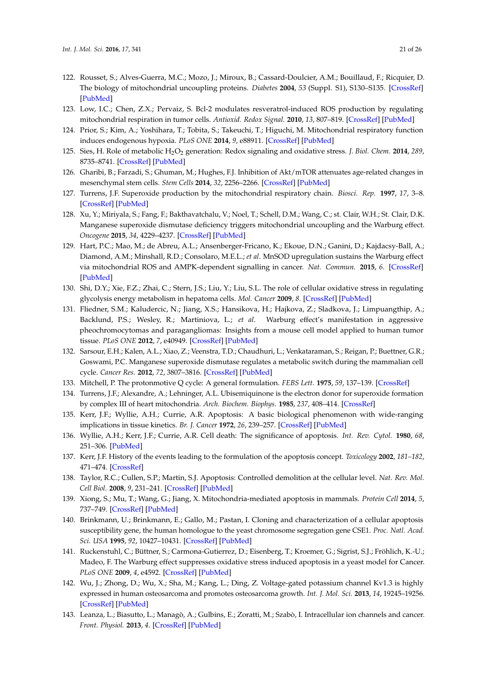- <span id="page-20-0"></span>122. Rousset, S.; Alves-Guerra, M.C.; Mozo, J.; Miroux, B.; Cassard-Doulcier, A.M.; Bouillaud, F.; Ricquier, D. The biology of mitochondrial uncoupling proteins. *Diabetes* **2004**, *53* (Suppl. S1), S130–S135. [\[CrossRef\]](http://dx.doi.org/10.2337/diabetes.53.2007.S130) [\[PubMed\]](http://www.ncbi.nlm.nih.gov/pubmed/14749278)
- <span id="page-20-1"></span>123. Low, I.C.; Chen, Z.X.; Pervaiz, S. Bcl-2 modulates resveratrol-induced ROS production by regulating mitochondrial respiration in tumor cells. *Antioxid. Redox Signal.* **2010**, *13*, 807–819. [\[CrossRef\]](http://dx.doi.org/10.1089/ars.2009.3050) [\[PubMed\]](http://www.ncbi.nlm.nih.gov/pubmed/20367277)
- <span id="page-20-2"></span>124. Prior, S.; Kim, A.; Yoshihara, T.; Tobita, S.; Takeuchi, T.; Higuchi, M. Mitochondrial respiratory function induces endogenous hypoxia. *PLoS ONE* **2014**, *9*, e88911. [\[CrossRef\]](http://dx.doi.org/10.1371/journal.pone.0088911) [\[PubMed\]](http://www.ncbi.nlm.nih.gov/pubmed/24586439)
- <span id="page-20-3"></span>125. Sies, H. Role of metabolic H2O<sup>2</sup> generation: Redox signaling and oxidative stress. *J. Biol. Chem.* **2014**, *289*, 8735–8741. [\[CrossRef\]](http://dx.doi.org/10.1074/jbc.R113.544635) [\[PubMed\]](http://www.ncbi.nlm.nih.gov/pubmed/24515117)
- <span id="page-20-4"></span>126. Gharibi, B.; Farzadi, S.; Ghuman, M.; Hughes, F.J. Inhibition of Akt/mTOR attenuates age-related changes in mesenchymal stem cells. *Stem Cells* **2014**, *32*, 2256–2266. [\[CrossRef\]](http://dx.doi.org/10.1002/stem.1709) [\[PubMed\]](http://www.ncbi.nlm.nih.gov/pubmed/24659476)
- <span id="page-20-5"></span>127. Turrens, J.F. Superoxide production by the mitochondrial respiratory chain. *Biosci. Rep.* **1997**, *17*, 3–8. [\[CrossRef\]](http://dx.doi.org/10.1023/A:1027374931887) [\[PubMed\]](http://www.ncbi.nlm.nih.gov/pubmed/9171915)
- <span id="page-20-6"></span>128. Xu, Y.; Miriyala, S.; Fang, F.; Bakthavatchalu, V.; Noel, T.; Schell, D.M.; Wang, C.; st. Clair, W.H.; St. Clair, D.K. Manganese superoxide dismutase deficiency triggers mitochondrial uncoupling and the Warburg effect. *Oncogene* **2015**, *34*, 4229–4237. [\[CrossRef\]](http://dx.doi.org/10.1038/onc.2014.355) [\[PubMed\]](http://www.ncbi.nlm.nih.gov/pubmed/25362851)
- <span id="page-20-7"></span>129. Hart, P.C.; Mao, M.; de Abreu, A.L.; Ansenberger-Fricano, K.; Ekoue, D.N.; Ganini, D.; Kajdacsy-Ball, A.; Diamond, A.M.; Minshall, R.D.; Consolaro, M.E.L.; *et al*. MnSOD upregulation sustains the Warburg effect via mitochondrial ROS and AMPK-dependent signalling in cancer. *Nat. Commun.* **2015**, *6*. [\[CrossRef\]](http://dx.doi.org/10.1038/ncomms7053) [\[PubMed\]](http://www.ncbi.nlm.nih.gov/pubmed/25651975)
- <span id="page-20-8"></span>130. Shi, D.Y.; Xie, F.Z.; Zhai, C.; Stern, J.S.; Liu, Y.; Liu, S.L. The role of cellular oxidative stress in regulating glycolysis energy metabolism in hepatoma cells. *Mol. Cancer* **2009**, *8*. [\[CrossRef\]](http://dx.doi.org/10.1186/1476-4598-8-32) [\[PubMed\]](http://www.ncbi.nlm.nih.gov/pubmed/19497135)
- 131. Fliedner, S.M.; Kaludercic, N.; Jiang, X.S.; Hansikova, H.; Hajkova, Z.; Sladkova, J.; Limpuangthip, A.; Backlund, P.S.; Wesley, R.; Martiniova, L.; *et al*. Warburg effect's manifestation in aggressive pheochromocytomas and paragangliomas: Insights from a mouse cell model applied to human tumor tissue. *PLoS ONE* **2012**, *7*, e40949. [\[CrossRef\]](http://dx.doi.org/10.1371/journal.pone.0040949) [\[PubMed\]](http://www.ncbi.nlm.nih.gov/pubmed/22859959)
- <span id="page-20-9"></span>132. Sarsour, E.H.; Kalen, A.L.; Xiao, Z.; Veenstra, T.D.; Chaudhuri, L.; Venkataraman, S.; Reigan, P.; Buettner, G.R.; Goswami, P.C. Manganese superoxide dismutase regulates a metabolic switch during the mammalian cell cycle. *Cancer Res.* **2012**, *72*, 3807–3816. [\[CrossRef\]](http://dx.doi.org/10.1158/0008-5472.CAN-11-1063) [\[PubMed\]](http://www.ncbi.nlm.nih.gov/pubmed/22710435)
- <span id="page-20-10"></span>133. Mitchell, P. The protonmotive Q cycle: A general formulation. *FEBS Lett.* **1975**, *59*, 137–139. [\[CrossRef\]](http://dx.doi.org/10.1016/0014-5793(75)80359-0)
- <span id="page-20-11"></span>134. Turrens, J.F.; Alexandre, A.; Lehninger, A.L. Ubisemiquinone is the electron donor for superoxide formation by complex III of heart mitochondria. *Arch. Biochem. Biophys.* **1985**, *237*, 408–414. [\[CrossRef\]](http://dx.doi.org/10.1016/0003-9861(85)90293-0)
- <span id="page-20-12"></span>135. Kerr, J.F.; Wyllie, A.H.; Currie, A.R. Apoptosis: A basic biological phenomenon with wide-ranging implications in tissue kinetics. *Br. J. Cancer* **1972**, *26*, 239–257. [\[CrossRef\]](http://dx.doi.org/10.1038/bjc.1972.33) [\[PubMed\]](http://www.ncbi.nlm.nih.gov/pubmed/4561027)
- <span id="page-20-13"></span>136. Wyllie, A.H.; Kerr, J.F.; Currie, A.R. Cell death: The significance of apoptosis. *Int. Rev. Cytol.* **1980**, *68*, 251–306. [\[PubMed\]](http://www.ncbi.nlm.nih.gov/pubmed/7014501)
- 137. Kerr, J.F. History of the events leading to the formulation of the apoptosis concept. *Toxicology* **2002**, *181–182*, 471–474. [\[CrossRef\]](http://dx.doi.org/10.1016/S0300-483X(02)00457-2)
- <span id="page-20-19"></span>138. Taylor, R.C.; Cullen, S.P.; Martin, S.J. Apoptosis: Controlled demolition at the cellular level. *Nat. Rev. Mol. Cell Biol.* **2008**, *9*, 231–241. [\[CrossRef\]](http://dx.doi.org/10.1038/nrm2312) [\[PubMed\]](http://www.ncbi.nlm.nih.gov/pubmed/18073771)
- <span id="page-20-14"></span>139. Xiong, S.; Mu, T.; Wang, G.; Jiang, X. Mitochondria-mediated apoptosis in mammals. *Protein Cell* **2014**, *5*, 737–749. [\[CrossRef\]](http://dx.doi.org/10.1007/s13238-014-0089-1) [\[PubMed\]](http://www.ncbi.nlm.nih.gov/pubmed/25073422)
- <span id="page-20-15"></span>140. Brinkmann, U.; Brinkmann, E.; Gallo, M.; Pastan, I. Cloning and characterization of a cellular apoptosis susceptibility gene, the human homologue to the yeast chromosome segregation gene CSE1. *Proc. Natl. Acad. Sci. USA* **1995**, *92*, 10427–10431. [\[CrossRef\]](http://dx.doi.org/10.1073/pnas.92.22.10427) [\[PubMed\]](http://www.ncbi.nlm.nih.gov/pubmed/7479798)
- <span id="page-20-16"></span>141. Ruckenstuhl, C.; Büttner, S.; Carmona-Gutierrez, D.; Eisenberg, T.; Kroemer, G.; Sigrist, S.J.; Fröhlich, K.-U.; Madeo, F. The Warburg effect suppresses oxidative stress induced apoptosis in a yeast model for Cancer. *PLoS ONE* **2009**, *4*, e4592. [\[CrossRef\]](http://dx.doi.org/10.1371/journal.pone.0004592) [\[PubMed\]](http://www.ncbi.nlm.nih.gov/pubmed/19240798)
- <span id="page-20-17"></span>142. Wu, J.; Zhong, D.; Wu, X.; Sha, M.; Kang, L.; Ding, Z. Voltage-gated potassium channel Kv1.3 is highly expressed in human osteosarcoma and promotes osteosarcoma growth. *Int. J. Mol. Sci.* **2013**, *14*, 19245–19256. [\[CrossRef\]](http://dx.doi.org/10.3390/ijms140919245) [\[PubMed\]](http://www.ncbi.nlm.nih.gov/pubmed/24065104)
- <span id="page-20-18"></span>143. Leanza, L.; Biasutto, L.; Managò, A.; Gulbins, E.; Zoratti, M.; Szabò, I. Intracellular ion channels and cancer. *Front. Physiol.* **2013**, *4*. [\[CrossRef\]](http://dx.doi.org/10.3389/fphys.2013.00227) [\[PubMed\]](http://www.ncbi.nlm.nih.gov/pubmed/24027528)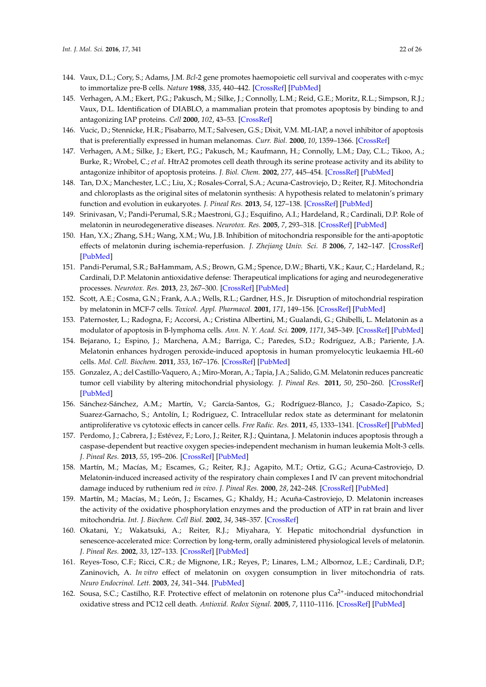- <span id="page-21-0"></span>144. Vaux, D.L.; Cory, S.; Adams, J.M. *Bcl*-2 gene promotes haemopoietic cell survival and cooperates with c-myc to immortalize pre-B cells. *Nature* **1988**, *335*, 440–442. [\[CrossRef\]](http://dx.doi.org/10.1038/335440a0) [\[PubMed\]](http://www.ncbi.nlm.nih.gov/pubmed/3262202)
- 145. Verhagen, A.M.; Ekert, P.G.; Pakusch, M.; Silke, J.; Connolly, L.M.; Reid, G.E.; Moritz, R.L.; Simpson, R.J.; Vaux, D.L. Identification of DIABLO, a mammalian protein that promotes apoptosis by binding to and antagonizing IAP proteins. *Cell* **2000**, *102*, 43–53. [\[CrossRef\]](http://dx.doi.org/10.1016/S0092-8674(00)00009-X)
- 146. Vucic, D.; Stennicke, H.R.; Pisabarro, M.T.; Salvesen, G.S.; Dixit, V.M. ML-IAP, a novel inhibitor of apoptosis that is preferentially expressed in human melanomas. *Curr. Biol.* **2000**, *10*, 1359–1366. [\[CrossRef\]](http://dx.doi.org/10.1016/S0960-9822(00)00781-8)
- <span id="page-21-1"></span>147. Verhagen, A.M.; Silke, J.; Ekert, P.G.; Pakusch, M.; Kaufmann, H.; Connolly, L.M.; Day, C.L.; Tikoo, A.; Burke, R.; Wrobel, C.; *et al*. HtrA2 promotes cell death through its serine protease activity and its ability to antagonize inhibitor of apoptosis proteins. *J. Biol. Chem.* **2002**, *277*, 445–454. [\[CrossRef\]](http://dx.doi.org/10.1074/jbc.M109891200) [\[PubMed\]](http://www.ncbi.nlm.nih.gov/pubmed/11604410)
- <span id="page-21-2"></span>148. Tan, D.X.; Manchester, L.C.; Liu, X.; Rosales-Corral, S.A.; Acuna-Castroviejo, D.; Reiter, R.J. Mitochondria and chloroplasts as the original sites of melatonin synthesis: A hypothesis related to melatonin's primary function and evolution in eukaryotes. *J. Pineal Res.* **2013**, *54*, 127–138. [\[CrossRef\]](http://dx.doi.org/10.1111/jpi.12026) [\[PubMed\]](http://www.ncbi.nlm.nih.gov/pubmed/23137057)
- <span id="page-21-3"></span>149. Srinivasan, V.; Pandi-Perumal, S.R.; Maestroni, G.J.; Esquifino, A.I.; Hardeland, R.; Cardinali, D.P. Role of melatonin in neurodegenerative diseases. *Neurotox. Res.* **2005**, *7*, 293–318. [\[CrossRef\]](http://dx.doi.org/10.1007/BF03033887) [\[PubMed\]](http://www.ncbi.nlm.nih.gov/pubmed/16179266)
- <span id="page-21-8"></span>150. Han, Y.X.; Zhang, S.H.; Wang, X.M.; Wu, J.B. Inhibition of mitochondria responsible for the anti-apoptotic effects of melatonin during ischemia-reperfusion. *J. Zhejiang Univ. Sci. B* **2006**, *7*, 142–147. [\[CrossRef\]](http://dx.doi.org/10.1631/jzus.2006.B0142) [\[PubMed\]](http://www.ncbi.nlm.nih.gov/pubmed/16421971)
- <span id="page-21-4"></span>151. Pandi-Perumal, S.R.; BaHammam, A.S.; Brown, G.M.; Spence, D.W.; Bharti, V.K.; Kaur, C.; Hardeland, R.; Cardinali, D.P. Melatonin antioxidative defense: Therapeutical implications for aging and neurodegenerative processes. *Neurotox. Res.* **2013**, *23*, 267–300. [\[CrossRef\]](http://dx.doi.org/10.1007/s12640-012-9337-4) [\[PubMed\]](http://www.ncbi.nlm.nih.gov/pubmed/22739839)
- <span id="page-21-5"></span>152. Scott, A.E.; Cosma, G.N.; Frank, A.A.; Wells, R.L.; Gardner, H.S., Jr. Disruption of mitochondrial respiration by melatonin in MCF-7 cells. *Toxicol. Appl. Pharmacol.* **2001**, *171*, 149–156. [\[CrossRef\]](http://dx.doi.org/10.1006/taap.2000.9115) [\[PubMed\]](http://www.ncbi.nlm.nih.gov/pubmed/11243914)
- 153. Paternoster, L.; Radogna, F.; Accorsi, A.; Cristina Albertini, M.; Gualandi, G.; Ghibelli, L. Melatonin as a modulator of apoptosis in B-lymphoma cells. *Ann. N. Y. Acad. Sci.* **2009**, *1171*, 345–349. [\[CrossRef\]](http://dx.doi.org/10.1111/j.1749-6632.2009.04910.x) [\[PubMed\]](http://www.ncbi.nlm.nih.gov/pubmed/19723074)
- <span id="page-21-9"></span>154. Bejarano, I.; Espino, J.; Marchena, A.M.; Barriga, C.; Paredes, S.D.; Rodríguez, A.B.; Pariente, J.A. Melatonin enhances hydrogen peroxide-induced apoptosis in human promyelocytic leukaemia HL-60 cells. *Mol. Cell. Biochem.* **2011**, *353*, 167–176. [\[CrossRef\]](http://dx.doi.org/10.1007/s11010-011-0783-8) [\[PubMed\]](http://www.ncbi.nlm.nih.gov/pubmed/21431366)
- 155. Gonzalez, A.; del Castillo-Vaquero, A.; Miro-Moran, A.; Tapia, J.A.; Salido, G.M. Melatonin reduces pancreatic tumor cell viability by altering mitochondrial physiology. *J. Pineal Res.* **2011**, *50*, 250–260. [\[CrossRef\]](http://dx.doi.org/10.1111/j.1600-079X.2010.00834.x) [\[PubMed\]](http://www.ncbi.nlm.nih.gov/pubmed/21118301)
- 156. Sánchez-Sánchez, A.M.; Martín, V.; García-Santos, G.; Rodríguez-Blanco, J.; Casado-Zapico, S.; Suarez-Garnacho, S.; Antolín, I.; Rodriguez, C. Intracellular redox state as determinant for melatonin antiproliferative vs cytotoxic effects in cancer cells. *Free Radic. Res.* **2011**, *45*, 1333–1341. [\[CrossRef\]](http://dx.doi.org/10.3109/10715762.2011.623700) [\[PubMed\]](http://www.ncbi.nlm.nih.gov/pubmed/21923620)
- <span id="page-21-6"></span>157. Perdomo, J.; Cabrera, J.; Estévez, F.; Loro, J.; Reiter, R.J.; Quintana, J. Melatonin induces apoptosis through a caspase-dependent but reactive oxygen species-independent mechanism in human leukemia Molt-3 cells. *J. Pineal Res.* **2013**, *55*, 195–206. [\[CrossRef\]](http://dx.doi.org/10.1111/jpi.12062) [\[PubMed\]](http://www.ncbi.nlm.nih.gov/pubmed/23725013)
- <span id="page-21-7"></span>158. Martín, M.; Macías, M.; Escames, G.; Reiter, R.J.; Agapito, M.T.; Ortiz, G.G.; Acuna-Castroviejo, D. Melatonin-induced increased activity of the respiratory chain complexes I and IV can prevent mitochondrial damage induced by ruthenium red *in vivo*. *J. Pineal Res.* **2000**, *28*, 242–248. [\[CrossRef\]](http://dx.doi.org/10.1034/j.1600-079X.2000.280407.x) [\[PubMed\]](http://www.ncbi.nlm.nih.gov/pubmed/10831160)
- 159. Martín, M.; Macías, M.; León, J.; Escames, G.; Khaldy, H.; Acuña-Castroviejo, D. Melatonin increases the activity of the oxidative phosphorylation enzymes and the production of ATP in rat brain and liver mitochondria. *Int. J. Biochem. Cell Biol.* **2002**, *34*, 348–357. [\[CrossRef\]](http://dx.doi.org/10.1016/S1357-2725(01)00138-8)
- 160. Okatani, Y.; Wakatsuki, A.; Reiter, R.J.; Miyahara, Y. Hepatic mitochondrial dysfunction in senescence-accelerated mice: Correction by long-term, orally administered physiological levels of melatonin. *J. Pineal Res.* **2002**, *33*, 127–133. [\[CrossRef\]](http://dx.doi.org/10.1034/j.1600-079X.2002.02109.x) [\[PubMed\]](http://www.ncbi.nlm.nih.gov/pubmed/12220325)
- 161. Reyes-Toso, C.F.; Ricci, C.R.; de Mignone, I.R.; Reyes, P.; Linares, L.M.; Albornoz, L.E.; Cardinali, D.P.; Zaninovich, A. *In vitro* effect of melatonin on oxygen consumption in liver mitochondria of rats. *Neuro Endocrinol. Lett.* **2003**, *24*, 341–344. [\[PubMed\]](http://www.ncbi.nlm.nih.gov/pubmed/14647009)
- 162. Sousa, S.C.; Castilho, R.F. Protective effect of melatonin on rotenone plus Ca<sup>2+</sup>-induced mitochondrial oxidative stress and PC12 cell death. *Antioxid. Redox Signal.* **2005**, *7*, 1110–1116. [\[CrossRef\]](http://dx.doi.org/10.1089/ars.2005.7.1110) [\[PubMed\]](http://www.ncbi.nlm.nih.gov/pubmed/16115015)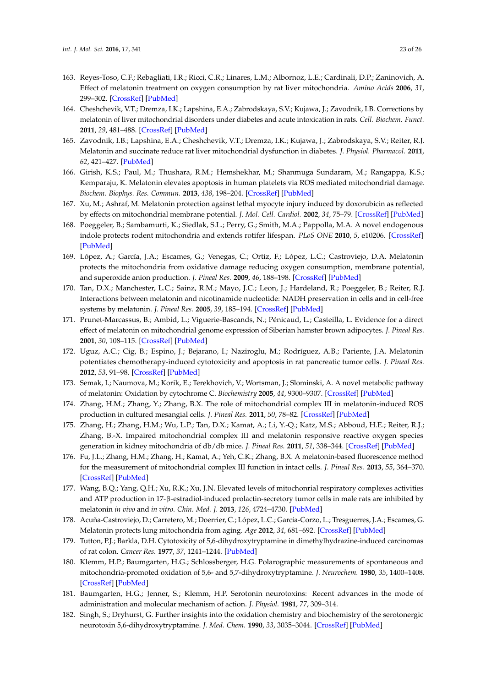- 163. Reyes-Toso, C.F.; Rebagliati, I.R.; Ricci, C.R.; Linares, L.M.; Albornoz, L.E.; Cardinali, D.P.; Zaninovich, A. Effect of melatonin treatment on oxygen consumption by rat liver mitochondria. *Amino Acids* **2006**, *31*, 299–302. [\[CrossRef\]](http://dx.doi.org/10.1007/s00726-005-0280-z) [\[PubMed\]](http://www.ncbi.nlm.nih.gov/pubmed/16554975)
- 164. Cheshchevik, V.T.; Dremza, I.K.; Lapshina, E.A.; Zabrodskaya, S.V.; Kujawa, J.; Zavodnik, I.B. Corrections by melatonin of liver mitochondrial disorders under diabetes and acute intoxication in rats. *Cell. Biochem. Funct.* **2011**, *29*, 481–488. [\[CrossRef\]](http://dx.doi.org/10.1002/cbf.1775) [\[PubMed\]](http://www.ncbi.nlm.nih.gov/pubmed/21744370)
- 165. Zavodnik, I.B.; Lapshina, E.A.; Cheshchevik, V.T.; Dremza, I.K.; Kujawa, J.; Zabrodskaya, S.V.; Reiter, R.J. Melatonin and succinate reduce rat liver mitochondrial dysfunction in diabetes. *J. Physiol. Pharmacol.* **2011**, *62*, 421–427. [\[PubMed\]](http://www.ncbi.nlm.nih.gov/pubmed/22100843)
- <span id="page-22-0"></span>166. Girish, K.S.; Paul, M.; Thushara, R.M.; Hemshekhar, M.; Shanmuga Sundaram, M.; Rangappa, K.S.; Kemparaju, K. Melatonin elevates apoptosis in human platelets via ROS mediated mitochondrial damage. *Biochem. Biophys. Res. Commun.* **2013**, *438*, 198–204. [\[CrossRef\]](http://dx.doi.org/10.1016/j.bbrc.2013.07.053) [\[PubMed\]](http://www.ncbi.nlm.nih.gov/pubmed/23880341)
- <span id="page-22-1"></span>167. Xu, M.; Ashraf, M. Melatonin protection against lethal myocyte injury induced by doxorubicin as reflected by effects on mitochondrial membrane potential. *J. Mol. Cell. Cardiol.* **2002**, *34*, 75–79. [\[CrossRef\]](http://dx.doi.org/10.1006/jmcc.2001.1485) [\[PubMed\]](http://www.ncbi.nlm.nih.gov/pubmed/11812166)
- <span id="page-22-2"></span>168. Poeggeler, B.; Sambamurti, K.; Siedlak, S.L.; Perry, G.; Smith, M.A.; Pappolla, M.A. A novel endogenous indole protects rodent mitochondria and extends rotifer lifespan. *PLoS ONE* **2010**, *5*, e10206. [\[CrossRef\]](http://dx.doi.org/10.1371/journal.pone.0010206) [\[PubMed\]](http://www.ncbi.nlm.nih.gov/pubmed/20421998)
- <span id="page-22-3"></span>169. López, A.; García, J.A.; Escames, G.; Venegas, C.; Ortiz, F.; López, L.C.; Castroviejo, D.A. Melatonin protects the mitochondria from oxidative damage reducing oxygen consumption, membrane potential, and superoxide anion production. *J. Pineal Res.* **2009**, *46*, 188–198. [\[CrossRef\]](http://dx.doi.org/10.1111/j.1600-079X.2008.00647.x) [\[PubMed\]](http://www.ncbi.nlm.nih.gov/pubmed/19054298)
- <span id="page-22-4"></span>170. Tan, D.X.; Manchester, L.C.; Sainz, R.M.; Mayo, J.C.; Leon, J.; Hardeland, R.; Poeggeler, B.; Reiter, R.J. Interactions between melatonin and nicotinamide nucleotide: NADH preservation in cells and in cell-free systems by melatonin. *J. Pineal Res.* **2005**, *39*, 185–194. [\[CrossRef\]](http://dx.doi.org/10.1111/j.1600-079X.2005.00234.x) [\[PubMed\]](http://www.ncbi.nlm.nih.gov/pubmed/16098097)
- <span id="page-22-5"></span>171. Prunet-Marcassus, B.; Ambid, L.; Viguerie-Bascands, N.; Pénicaud, L.; Casteilla, L. Evidence for a direct effect of melatonin on mitochondrial genome expression of Siberian hamster brown adipocytes. *J. Pineal Res.* **2001**, *30*, 108–115. [\[CrossRef\]](http://dx.doi.org/10.1034/j.1600-079X.2001.300206.x) [\[PubMed\]](http://www.ncbi.nlm.nih.gov/pubmed/11270477)
- <span id="page-22-6"></span>172. Uguz, A.C.; Cig, B.; Espino, J.; Bejarano, I.; Naziroglu, M.; Rodríguez, A.B.; Pariente, J.A. Melatonin potentiates chemotherapy-induced cytotoxicity and apoptosis in rat pancreatic tumor cells. *J. Pineal Res.* **2012**, *53*, 91–98. [\[CrossRef\]](http://dx.doi.org/10.1111/j.1600-079X.2012.00974.x) [\[PubMed\]](http://www.ncbi.nlm.nih.gov/pubmed/22288984)
- <span id="page-22-7"></span>173. Semak, I.; Naumova, M.; Korik, E.; Terekhovich, V.; Wortsman, J.; Slominski, A. A novel metabolic pathway of melatonin: Oxidation by cytochrome C. *Biochemistry* **2005**, *44*, 9300–9307. [\[CrossRef\]](http://dx.doi.org/10.1021/bi050202d) [\[PubMed\]](http://www.ncbi.nlm.nih.gov/pubmed/15981996)
- <span id="page-22-8"></span>174. Zhang, H.M.; Zhang, Y.; Zhang, B.X. The role of mitochondrial complex III in melatonin-induced ROS production in cultured mesangial cells. *J. Pineal Res.* **2011**, *50*, 78–82. [\[CrossRef\]](http://dx.doi.org/10.1111/j.1600-079X.2010.00815.x) [\[PubMed\]](http://www.ncbi.nlm.nih.gov/pubmed/20969621)
- <span id="page-22-10"></span>175. Zhang, H.; Zhang, H.M.; Wu, L.P.; Tan, D.X.; Kamat, A.; Li, Y.-Q.; Katz, M.S.; Abboud, H.E.; Reiter, R.J.; Zhang, B.-X. Impaired mitochondrial complex III and melatonin responsive reactive oxygen species generation in kidney mitochondria of db/db mice. *J. Pineal Res.* **2011**, *51*, 338–344. [\[CrossRef\]](http://dx.doi.org/10.1111/j.1600-079X.2011.00894.x) [\[PubMed\]](http://www.ncbi.nlm.nih.gov/pubmed/21615785)
- <span id="page-22-9"></span>176. Fu, J.L.; Zhang, H.M.; Zhang, H.; Kamat, A.; Yeh, C.K.; Zhang, B.X. A melatonin-based fluorescence method for the measurement of mitochondrial complex III function in intact cells. *J. Pineal Res.* **2013**, *55*, 364–370. [\[CrossRef\]](http://dx.doi.org/10.1111/jpi.12079) [\[PubMed\]](http://www.ncbi.nlm.nih.gov/pubmed/23952718)
- <span id="page-22-11"></span>177. Wang, B.Q.; Yang, Q.H.; Xu, R.K.; Xu, J.N. Elevated levels of mitochonrial respiratory complexes activities and ATP production in 17-β-estradiol-induced prolactin-secretory tumor cells in male rats are inhibited by melatonin *in vivo* and *in vitro*. *Chin. Med. J.* **2013**, *126*, 4724–4730. [\[PubMed\]](http://www.ncbi.nlm.nih.gov/pubmed/24342319)
- <span id="page-22-12"></span>178. Acuña-Castroviejo, D.; Carretero, M.; Doerrier, C.; López, L.C.; García-Corzo, L.; Tresguerres, J.A.; Escames, G. Melatonin protects lung mitochondria from aging. *Age* **2012**, *34*, 681–692. [\[CrossRef\]](http://dx.doi.org/10.1007/s11357-011-9267-8) [\[PubMed\]](http://www.ncbi.nlm.nih.gov/pubmed/21614449)
- <span id="page-22-13"></span>179. Tutton, P.J.; Barkla, D.H. Cytotoxicity of 5,6-dihydroxytryptamine in dimethylhydrazine-induced carcinomas of rat colon. *Cancer Res.* **1977**, *37*, 1241–1244. [\[PubMed\]](http://www.ncbi.nlm.nih.gov/pubmed/844050)
- <span id="page-22-14"></span>180. Klemm, H.P.; Baumgarten, H.G.; Schlossberger, H.G. Polarographic measurements of spontaneous and mitochondria-promoted oxidation of 5,6- and 5,7-dihydroxytryptamine. *J. Neurochem.* **1980**, *35*, 1400–1408. [\[CrossRef\]](http://dx.doi.org/10.1111/j.1471-4159.1980.tb09016.x) [\[PubMed\]](http://www.ncbi.nlm.nih.gov/pubmed/7441258)
- 181. Baumgarten, H.G.; Jenner, S.; Klemm, H.P. Serotonin neurotoxins: Recent advances in the mode of administration and molecular mechanism of action. *J. Physiol.* **1981**, *77*, 309–314.
- <span id="page-22-15"></span>182. Singh, S.; Dryhurst, G. Further insights into the oxidation chemistry and biochemistry of the serotonergic neurotoxin 5,6-dihydroxytryptamine. *J. Med. Chem.* **1990**, *33*, 3035–3044. [\[CrossRef\]](http://dx.doi.org/10.1021/jm00173a020) [\[PubMed\]](http://www.ncbi.nlm.nih.gov/pubmed/2172537)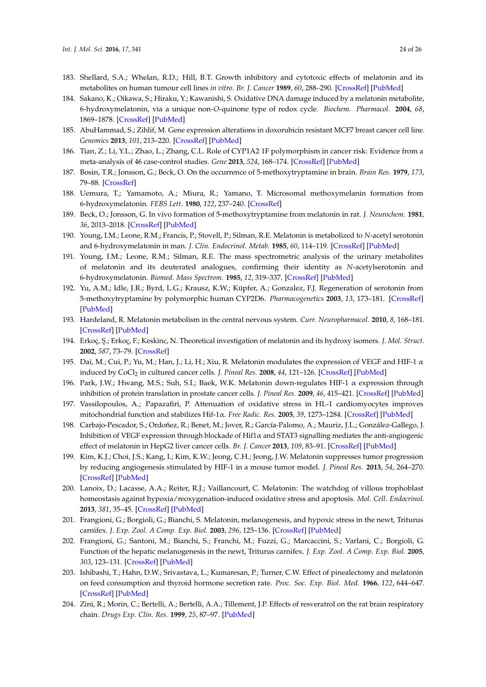- <span id="page-23-0"></span>183. Shellard, S.A.; Whelan, R.D.; Hill, B.T. Growth inhibitory and cytotoxic effects of melatonin and its metabolites on human tumour cell lines *in vitro*. *Br. J. Cancer* **1989**, *60*, 288–290. [\[CrossRef\]](http://dx.doi.org/10.1038/bjc.1989.272) [\[PubMed\]](http://www.ncbi.nlm.nih.gov/pubmed/2789933)
- <span id="page-23-1"></span>184. Sakano, K.; Oikawa, S.; Hiraku, Y.; Kawanishi, S. Oxidative DNA damage induced by a melatonin metabolite, 6-hydroxymelatonin, via a unique non-*O*-quinone type of redox cycle. *Biochem. Pharmacol.* **2004**, *68*, 1869–1878. [\[CrossRef\]](http://dx.doi.org/10.1016/j.bcp.2004.06.016) [\[PubMed\]](http://www.ncbi.nlm.nih.gov/pubmed/15450952)
- <span id="page-23-2"></span>185. AbuHammad, S.; Zihlif, M. Gene expression alterations in doxorubicin resistant MCF7 breast cancer cell line. *Genomics* **2013**, *101*, 213–220. [\[CrossRef\]](http://dx.doi.org/10.1016/j.ygeno.2012.11.009) [\[PubMed\]](http://www.ncbi.nlm.nih.gov/pubmed/23201559)
- <span id="page-23-3"></span>186. Tian, Z.; Li, Y.L.; Zhao, L.; Zhang, C.L. Role of CYP1A2 1F polymorphism in cancer risk: Evidence from a meta-analysis of 46 case-control studies. *Gene* **2013**, *524*, 168–174. [\[CrossRef\]](http://dx.doi.org/10.1016/j.gene.2013.04.038) [\[PubMed\]](http://www.ncbi.nlm.nih.gov/pubmed/23628800)
- <span id="page-23-4"></span>187. Bosin, T.R.; Jonsson, G.; Beck, O. On the occurrence of 5-methoxytryptamine in brain. *Brain Res.* **1979**, *173*, 79–88. [\[CrossRef\]](http://dx.doi.org/10.1016/0006-8993(79)91097-7)
- 188. Uemura, T.; Yamamoto, A.; Miura, R.; Yamano, T. Microsomal methoxymelanin formation from 6-hydroxymelatonin. *FEBS Lett.* **1980**, *122*, 237–240. [\[CrossRef\]](http://dx.doi.org/10.1016/0014-5793(80)80447-9)
- 189. Beck, O.; Jonsson, G. In vivo formation of 5-methoxytryptamine from melatonin in rat. *J. Neurochem.* **1981**, *36*, 2013–2018. [\[CrossRef\]](http://dx.doi.org/10.1111/j.1471-4159.1981.tb10827.x) [\[PubMed\]](http://www.ncbi.nlm.nih.gov/pubmed/6940950)
- 190. Young, I.M.; Leone, R.M.; Francis, P.; Stovell, P.; Silman, R.E. Melatonin is metabolized to *N*-acetyl serotonin and 6-hydroxymelatonin in man. *J. Clin. Endocrinol. Metab.* **1985**, *60*, 114–119. [\[CrossRef\]](http://dx.doi.org/10.1210/jcem-60-1-114) [\[PubMed\]](http://www.ncbi.nlm.nih.gov/pubmed/3964785)
- 191. Young, I.M.; Leone, R.M.; Silman, R.E. The mass spectrometric analysis of the urinary metabolites of melatonin and its deuterated analogues, confirming their identity as *N*-acetylserotonin and 6-hydroxymelatonin. *Biomed. Mass Spectrom.* **1985**, *12*, 319–337. [\[CrossRef\]](http://dx.doi.org/10.1002/bms.1200120704) [\[PubMed\]](http://www.ncbi.nlm.nih.gov/pubmed/2933089)
- 192. Yu, A.M.; Idle, J.R.; Byrd, L.G.; Krausz, K.W.; Küpfer, A.; Gonzalez, F.J. Regeneration of serotonin from 5-methoxytryptamine by polymorphic human CYP2D6. *Pharmacogenetics* **2003**, *13*, 173–181. [\[CrossRef\]](http://dx.doi.org/10.1097/00008571-200303000-00007) [\[PubMed\]](http://www.ncbi.nlm.nih.gov/pubmed/12618595)
- <span id="page-23-5"></span>193. Hardeland, R. Melatonin metabolism in the central nervous system. *Curr. Neuropharmacol.* **2010**, *8*, 168–181. [\[CrossRef\]](http://dx.doi.org/10.2174/157015910792246164) [\[PubMed\]](http://www.ncbi.nlm.nih.gov/pubmed/21358968)
- <span id="page-23-6"></span>194. Erkoç, Ş.; Erkoç, F.; Keskinc, N. Theoretical investigation of melatonin and its hydroxy isomers. *J. Mol. Struct.* **2002**, *587*, 73–79. [\[CrossRef\]](http://dx.doi.org/10.1016/S0166-1280(02)00098-2)
- <span id="page-23-7"></span>195. Dai, M.; Cui, P.; Yu, M.; Han, J.; Li, H.; Xiu, R. Melatonin modulates the expression of VEGF and HIF-1 α induced by CoCl<sup>2</sup> in cultured cancer cells. *J. Pineal Res.* **2008**, *44*, 121–126. [\[CrossRef\]](http://dx.doi.org/10.1111/j.1600-079X.2007.00498.x) [\[PubMed\]](http://www.ncbi.nlm.nih.gov/pubmed/18289162)
- 196. Park, J.W.; Hwang, M.S.; Suh, S.I.; Baek, W.K. Melatonin down-regulates HIF-1 α expression through inhibition of protein translation in prostate cancer cells. *J. Pineal Res.* **2009**, *46*, 415–421. [\[CrossRef\]](http://dx.doi.org/10.1111/j.1600-079X.2009.00678.x) [\[PubMed\]](http://www.ncbi.nlm.nih.gov/pubmed/19552765)
- 197. Vassilopoulos, A.; Papazafiri, P. Attenuation of oxidative stress in HL-1 cardiomyocytes improves mitochondrial function and stabilizes Hif-1α. *Free Radic. Res.* **2005**, *39*, 1273–1284. [\[CrossRef\]](http://dx.doi.org/10.1080/10715760500166685) [\[PubMed\]](http://www.ncbi.nlm.nih.gov/pubmed/16298857)
- 198. Carbajo-Pescador, S.; Ordoñez, R.; Benet, M.; Jover, R.; García-Palomo, A.; Mauriz, J.L.; González-Gallego, J. Inhibition of VEGF expression through blockade of Hif1α and STAT3 signalling mediates the anti-angiogenic effect of melatonin in HepG2 liver cancer cells. *Br. J. Cancer* **2013**, *109*, 83–91. [\[CrossRef\]](http://dx.doi.org/10.1038/bjc.2013.285) [\[PubMed\]](http://www.ncbi.nlm.nih.gov/pubmed/23756865)
- <span id="page-23-8"></span>199. Kim, K.J.; Choi, J.S.; Kang, I.; Kim, K.W.; Jeong, C.H.; Jeong, J.W. Melatonin suppresses tumor progression by reducing angiogenesis stimulated by HIF-1 in a mouse tumor model. *J. Pineal Res.* **2013**, *54*, 264–270. [\[CrossRef\]](http://dx.doi.org/10.1111/j.1600-079X.2012.01030.x) [\[PubMed\]](http://www.ncbi.nlm.nih.gov/pubmed/22924616)
- <span id="page-23-9"></span>200. Lanoix, D.; Lacasse, A.A.; Reiter, R.J.; Vaillancourt, C. Melatonin: The watchdog of villous trophoblast homeostasis against hypoxia/reoxygenation-induced oxidative stress and apoptosis. *Mol. Cell. Endocrinol.* **2013**, *381*, 35–45. [\[CrossRef\]](http://dx.doi.org/10.1016/j.mce.2013.07.010) [\[PubMed\]](http://www.ncbi.nlm.nih.gov/pubmed/23886990)
- <span id="page-23-10"></span>201. Frangioni, G.; Borgioli, G.; Bianchi, S. Melatonin, melanogenesis, and hypoxic stress in the newt, Triturus carnifex. *J. Exp. Zool. A Comp. Exp. Biol.* **2003**, *296*, 125–136. [\[CrossRef\]](http://dx.doi.org/10.1002/jez.a.10261) [\[PubMed\]](http://www.ncbi.nlm.nih.gov/pubmed/12658718)
- <span id="page-23-11"></span>202. Frangioni, G.; Santoni, M.; Bianchi, S.; Franchi, M.; Fuzzi, G.; Marcaccini, S.; Varlani, C.; Borgioli, G. Function of the hepatic melanogenesis in the newt, Triturus carnifex. *J. Exp. Zool. A Comp. Exp. Biol.* **2005**, *303*, 123–131. [\[CrossRef\]](http://dx.doi.org/10.1002/jez.a.137) [\[PubMed\]](http://www.ncbi.nlm.nih.gov/pubmed/15662667)
- <span id="page-23-12"></span>203. Ishibashi, T.; Hahn, D.W.; Srivastava, L.; Kumaresan, P.; Turner, C.W. Effect of pinealectomy and melatonin on feed consumption and thyroid hormone secretion rate. *Proc. Soc. Exp. Biol. Med.* **1966**, *122*, 644–647. [\[CrossRef\]](http://dx.doi.org/10.3181/00379727-122-31215) [\[PubMed\]](http://www.ncbi.nlm.nih.gov/pubmed/5918927)
- <span id="page-23-13"></span>204. Zini, R.; Morin, C.; Bertelli, A.; Bertelli, A.A.; Tillement, J.P. Effects of resveratrol on the rat brain respiratory chain. *Drugs Exp. Clin. Res.* **1999**, *25*, 87–97. [\[PubMed\]](http://www.ncbi.nlm.nih.gov/pubmed/10370869)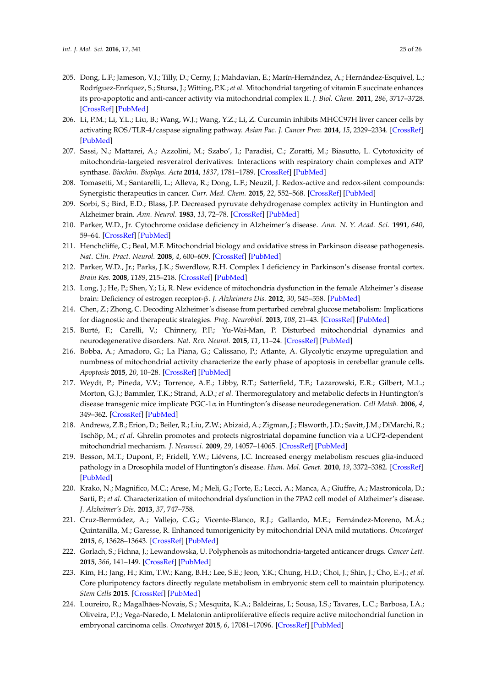- 205. Dong, L.F.; Jameson, V.J.; Tilly, D.; Cerny, J.; Mahdavian, E.; Marín-Hernández, A.; Hernández-Esquivel, L.; Rodríguez-Enríquez, S.; Stursa, J.; Witting, P.K.; *et al*. Mitochondrial targeting of vitamin E succinate enhances its pro-apoptotic and anti-cancer activity via mitochondrial complex II. *J. Biol. Chem.* **2011**, *286*, 3717–3728. [\[CrossRef\]](http://dx.doi.org/10.1074/jbc.M110.186643) [\[PubMed\]](http://www.ncbi.nlm.nih.gov/pubmed/21059645)
- 206. Li, P.M.; Li, Y.L.; Liu, B.; Wang, W.J.; Wang, Y.Z.; Li, Z. Curcumin inhibits MHCC97H liver cancer cells by activating ROS/TLR-4/caspase signaling pathway. *Asian Pac. J. Cancer Prev.* **2014**, *15*, 2329–2334. [\[CrossRef\]](http://dx.doi.org/10.7314/APJCP.2014.15.5.2329) [\[PubMed\]](http://www.ncbi.nlm.nih.gov/pubmed/24716979)
- 207. Sassi, N.; Mattarei, A.; Azzolini, M.; Szabo', I.; Paradisi, C.; Zoratti, M.; Biasutto, L. Cytotoxicity of mitochondria-targeted resveratrol derivatives: Interactions with respiratory chain complexes and ATP synthase. *Biochim. Biophys. Acta* **2014**, *1837*, 1781–1789. [\[CrossRef\]](http://dx.doi.org/10.1016/j.bbabio.2014.06.010) [\[PubMed\]](http://www.ncbi.nlm.nih.gov/pubmed/24997425)
- <span id="page-24-0"></span>208. Tomasetti, M.; Santarelli, L.; Alleva, R.; Dong, L.F.; Neuzil, J. Redox-active and redox-silent compounds: Synergistic therapeutics in cancer. *Curr. Med. Chem.* **2015**, *22*, 552–568. [\[CrossRef\]](http://dx.doi.org/10.2174/0929867321666140915142219) [\[PubMed\]](http://www.ncbi.nlm.nih.gov/pubmed/25245377)
- <span id="page-24-1"></span>209. Sorbi, S.; Bird, E.D.; Blass, J.P. Decreased pyruvate dehydrogenase complex activity in Huntington and Alzheimer brain. *Ann. Neurol.* **1983**, *13*, 72–78. [\[CrossRef\]](http://dx.doi.org/10.1002/ana.410130116) [\[PubMed\]](http://www.ncbi.nlm.nih.gov/pubmed/6219611)
- 210. Parker, W.D., Jr. Cytochrome oxidase deficiency in Alzheimer's disease. *Ann. N. Y. Acad. Sci.* **1991**, *640*, 59–64. [\[CrossRef\]](http://dx.doi.org/10.1111/j.1749-6632.1991.tb00191.x) [\[PubMed\]](http://www.ncbi.nlm.nih.gov/pubmed/1663716)
- 211. Henchcliffe, C.; Beal, M.F. Mitochondrial biology and oxidative stress in Parkinson disease pathogenesis. *Nat. Clin. Pract. Neurol.* **2008**, *4*, 600–609. [\[CrossRef\]](http://dx.doi.org/10.1038/ncpneuro0924) [\[PubMed\]](http://www.ncbi.nlm.nih.gov/pubmed/18978800)
- 212. Parker, W.D., Jr.; Parks, J.K.; Swerdlow, R.H. Complex I deficiency in Parkinson's disease frontal cortex. *Brain Res.* **2008**, *1189*, 215–218. [\[CrossRef\]](http://dx.doi.org/10.1016/j.brainres.2007.10.061) [\[PubMed\]](http://www.ncbi.nlm.nih.gov/pubmed/18061150)
- 213. Long, J.; He, P.; Shen, Y.; Li, R. New evidence of mitochondria dysfunction in the female Alzheimer's disease brain: Deficiency of estrogen receptor-β. *J. Alzheimers Dis.* **2012**, *30*, 545–558. [\[PubMed\]](http://www.ncbi.nlm.nih.gov/pubmed/22451324)
- 214. Chen, Z.; Zhong, C. Decoding Alzheimer's disease from perturbed cerebral glucose metabolism: Implications for diagnostic and therapeutic strategies. *Prog. Neurobiol.* **2013**, *108*, 21–43. [\[CrossRef\]](http://dx.doi.org/10.1016/j.pneurobio.2013.06.004) [\[PubMed\]](http://www.ncbi.nlm.nih.gov/pubmed/23850509)
- <span id="page-24-2"></span>215. Burté, F.; Carelli, V.; Chinnery, P.F.; Yu-Wai-Man, P. Disturbed mitochondrial dynamics and neurodegenerative disorders. *Nat. Rev. Neurol.* **2015**, *11*, 11–24. [\[CrossRef\]](http://dx.doi.org/10.1038/nrneurol.2014.228) [\[PubMed\]](http://www.ncbi.nlm.nih.gov/pubmed/25486875)
- <span id="page-24-3"></span>216. Bobba, A.; Amadoro, G.; La Piana, G.; Calissano, P.; Atlante, A. Glycolytic enzyme upregulation and numbness of mitochondrial activity characterize the early phase of apoptosis in cerebellar granule cells. *Apoptosis* **2015**, *20*, 10–28. [\[CrossRef\]](http://dx.doi.org/10.1007/s10495-014-1049-1) [\[PubMed\]](http://www.ncbi.nlm.nih.gov/pubmed/25351440)
- <span id="page-24-4"></span>217. Weydt, P.; Pineda, V.V.; Torrence, A.E.; Libby, R.T.; Satterfield, T.F.; Lazarowski, E.R.; Gilbert, M.L.; Morton, G.J.; Bammler, T.K.; Strand, A.D.; *et al*. Thermoregulatory and metabolic defects in Huntington's disease transgenic mice implicate PGC-1α in Huntington's disease neurodegeneration. *Cell Metab.* **2006**, *4*, 349–362. [\[CrossRef\]](http://dx.doi.org/10.1016/j.cmet.2006.10.004) [\[PubMed\]](http://www.ncbi.nlm.nih.gov/pubmed/17055784)
- 218. Andrews, Z.B.; Erion, D.; Beiler, R.; Liu, Z.W.; Abizaid, A.; Zigman, J.; Elsworth, J.D.; Savitt, J.M.; DiMarchi, R.; Tschöp, M.; *et al*. Ghrelin promotes and protects nigrostriatal dopamine function via a UCP2-dependent mitochondrial mechanism. *J. Neurosci.* **2009**, *29*, 14057–14065. [\[CrossRef\]](http://dx.doi.org/10.1523/JNEUROSCI.3890-09.2009) [\[PubMed\]](http://www.ncbi.nlm.nih.gov/pubmed/19906954)
- 219. Besson, M.T.; Dupont, P.; Fridell, Y.W.; Liévens, J.C. Increased energy metabolism rescues glia-induced pathology in a Drosophila model of Huntington's disease. *Hum. Mol. Genet.* **2010**, *19*, 3372–3382. [\[CrossRef\]](http://dx.doi.org/10.1093/hmg/ddq249) [\[PubMed\]](http://www.ncbi.nlm.nih.gov/pubmed/20566711)
- <span id="page-24-5"></span>220. Krako, N.; Magnifico, M.C.; Arese, M.; Meli, G.; Forte, E.; Lecci, A.; Manca, A.; Giuffre, A.; Mastronicola, D.; Sarti, P.; *et al*. Characterization of mitochondrial dysfunction in the 7PA2 cell model of Alzheimer's disease. *J. Alzheimer's Dis.* **2013**, *37*, 747–758.
- <span id="page-24-6"></span>221. Cruz-Bermúdez, A.; Vallejo, C.G.; Vicente-Blanco, R.J.; Gallardo, M.E.; Fernández-Moreno, M.Á.; Quintanilla, M.; Garesse, R. Enhanced tumorigenicity by mitochondrial DNA mild mutations. *Oncotarget* **2015**, *6*, 13628–13643. [\[CrossRef\]](http://dx.doi.org/10.18632/oncotarget.3698) [\[PubMed\]](http://www.ncbi.nlm.nih.gov/pubmed/25909222)
- 222. Gorlach, S.; Fichna, J.; Lewandowska, U. Polyphenols as mitochondria-targeted anticancer drugs. *Cancer Lett.* **2015**, *366*, 141–149. [\[CrossRef\]](http://dx.doi.org/10.1016/j.canlet.2015.07.004) [\[PubMed\]](http://www.ncbi.nlm.nih.gov/pubmed/26185003)
- 223. Kim, H.; Jang, H.; Kim, T.W.; Kang, B.H.; Lee, S.E.; Jeon, Y.K.; Chung, H.D.; Choi, J.; Shin, J.; Cho, E.-J.; *et al*. Core pluripotency factors directly regulate metabolism in embryonic stem cell to maintain pluripotency. *Stem Cells* **2015**. [\[CrossRef\]](http://dx.doi.org/10.1002/stem.2073) [\[PubMed\]](http://www.ncbi.nlm.nih.gov/pubmed/26059508)
- 224. Loureiro, R.; Magalhães-Novais, S.; Mesquita, K.A.; Baldeiras, I.; Sousa, I.S.; Tavares, L.C.; Barbosa, I.A.; Oliveira, P.J.; Vega-Naredo, I. Melatonin antiproliferative effects require active mitochondrial function in embryonal carcinoma cells. *Oncotarget* **2015**, *6*, 17081–17096. [\[CrossRef\]](http://dx.doi.org/10.18632/oncotarget.4012) [\[PubMed\]](http://www.ncbi.nlm.nih.gov/pubmed/26025920)